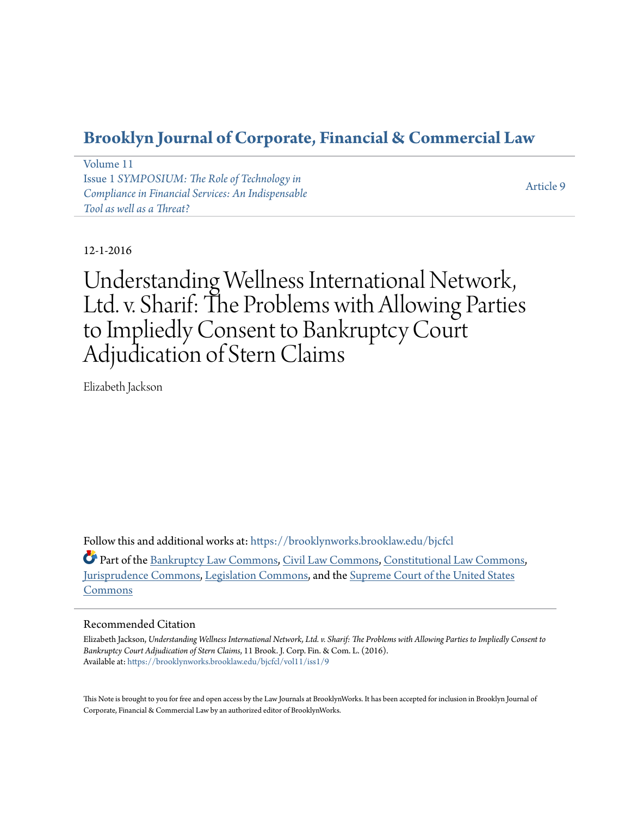# **[Brooklyn Journal of Corporate, Financial & Commercial Law](https://brooklynworks.brooklaw.edu/bjcfcl?utm_source=brooklynworks.brooklaw.edu%2Fbjcfcl%2Fvol11%2Fiss1%2F9&utm_medium=PDF&utm_campaign=PDFCoverPages)**

[Volume 11](https://brooklynworks.brooklaw.edu/bjcfcl/vol11?utm_source=brooklynworks.brooklaw.edu%2Fbjcfcl%2Fvol11%2Fiss1%2F9&utm_medium=PDF&utm_campaign=PDFCoverPages) Issue 1 *[SYMPOSIUM: The Role of Technology in](https://brooklynworks.brooklaw.edu/bjcfcl/vol11/iss1?utm_source=brooklynworks.brooklaw.edu%2Fbjcfcl%2Fvol11%2Fiss1%2F9&utm_medium=PDF&utm_campaign=PDFCoverPages) [Compliance in Financial Services: An Indispensable](https://brooklynworks.brooklaw.edu/bjcfcl/vol11/iss1?utm_source=brooklynworks.brooklaw.edu%2Fbjcfcl%2Fvol11%2Fiss1%2F9&utm_medium=PDF&utm_campaign=PDFCoverPages) [Tool as well as a Threat?](https://brooklynworks.brooklaw.edu/bjcfcl/vol11/iss1?utm_source=brooklynworks.brooklaw.edu%2Fbjcfcl%2Fvol11%2Fiss1%2F9&utm_medium=PDF&utm_campaign=PDFCoverPages)*

[Article 9](https://brooklynworks.brooklaw.edu/bjcfcl/vol11/iss1/9?utm_source=brooklynworks.brooklaw.edu%2Fbjcfcl%2Fvol11%2Fiss1%2F9&utm_medium=PDF&utm_campaign=PDFCoverPages)

12-1-2016

Understanding Wellness International Network, Ltd. v. Sharif: The Problems with Allowing Parties to Impliedly Consent to Bankruptcy Court Adjudication of Stern Claims

Elizabeth Jackson

Follow this and additional works at: [https://brooklynworks.brooklaw.edu/bjcfcl](https://brooklynworks.brooklaw.edu/bjcfcl?utm_source=brooklynworks.brooklaw.edu%2Fbjcfcl%2Fvol11%2Fiss1%2F9&utm_medium=PDF&utm_campaign=PDFCoverPages)

Part of the [Bankruptcy Law Commons,](http://network.bepress.com/hgg/discipline/583?utm_source=brooklynworks.brooklaw.edu%2Fbjcfcl%2Fvol11%2Fiss1%2F9&utm_medium=PDF&utm_campaign=PDFCoverPages) [Civil Law Commons,](http://network.bepress.com/hgg/discipline/835?utm_source=brooklynworks.brooklaw.edu%2Fbjcfcl%2Fvol11%2Fiss1%2F9&utm_medium=PDF&utm_campaign=PDFCoverPages) [Constitutional Law Commons](http://network.bepress.com/hgg/discipline/589?utm_source=brooklynworks.brooklaw.edu%2Fbjcfcl%2Fvol11%2Fiss1%2F9&utm_medium=PDF&utm_campaign=PDFCoverPages), [Jurisprudence Commons](http://network.bepress.com/hgg/discipline/610?utm_source=brooklynworks.brooklaw.edu%2Fbjcfcl%2Fvol11%2Fiss1%2F9&utm_medium=PDF&utm_campaign=PDFCoverPages), [Legislation Commons,](http://network.bepress.com/hgg/discipline/859?utm_source=brooklynworks.brooklaw.edu%2Fbjcfcl%2Fvol11%2Fiss1%2F9&utm_medium=PDF&utm_campaign=PDFCoverPages) and the [Supreme Court of the United States](http://network.bepress.com/hgg/discipline/1350?utm_source=brooklynworks.brooklaw.edu%2Fbjcfcl%2Fvol11%2Fiss1%2F9&utm_medium=PDF&utm_campaign=PDFCoverPages) [Commons](http://network.bepress.com/hgg/discipline/1350?utm_source=brooklynworks.brooklaw.edu%2Fbjcfcl%2Fvol11%2Fiss1%2F9&utm_medium=PDF&utm_campaign=PDFCoverPages)

# Recommended Citation

Elizabeth Jackson, *Understanding Wellness International Network, Ltd. v. Sharif: The Problems with Allowing Parties to Impliedly Consent to Bankruptcy Court Adjudication of Stern Claims*, 11 Brook. J. Corp. Fin. & Com. L. (2016). Available at: [https://brooklynworks.brooklaw.edu/bjcfcl/vol11/iss1/9](https://brooklynworks.brooklaw.edu/bjcfcl/vol11/iss1/9?utm_source=brooklynworks.brooklaw.edu%2Fbjcfcl%2Fvol11%2Fiss1%2F9&utm_medium=PDF&utm_campaign=PDFCoverPages)

This Note is brought to you for free and open access by the Law Journals at BrooklynWorks. It has been accepted for inclusion in Brooklyn Journal of Corporate, Financial & Commercial Law by an authorized editor of BrooklynWorks.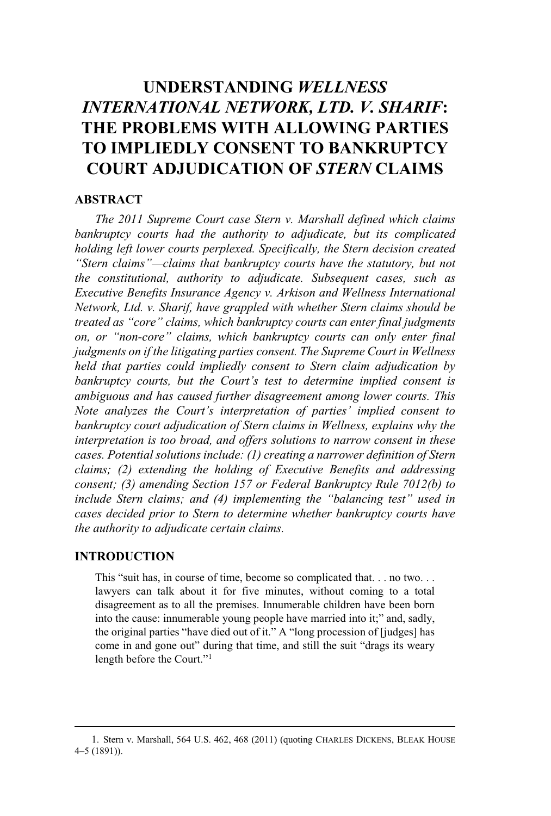# **UNDERSTANDING** *WELLNESS INTERNATIONAL NETWORK, LTD. V. SHARIF***: THE PROBLEMS WITH ALLOWING PARTIES TO IMPLIEDLY CONSENT TO BANKRUPTCY COURT ADJUDICATION OF** *STERN* **CLAIMS**

# **ABSTRACT**

*The 2011 Supreme Court case Stern v. Marshall defined which claims bankruptcy courts had the authority to adjudicate, but its complicated holding left lower courts perplexed. Specifically, the Stern decision created "Stern claims"—claims that bankruptcy courts have the statutory, but not the constitutional, authority to adjudicate. Subsequent cases, such as Executive Benefits Insurance Agency v. Arkison and Wellness International Network, Ltd. v. Sharif, have grappled with whether Stern claims should be treated as "core" claims, which bankruptcy courts can enter final judgments on, or "non-core" claims, which bankruptcy courts can only enter final judgments on if the litigating parties consent. The Supreme Court in Wellness held that parties could impliedly consent to Stern claim adjudication by bankruptcy courts, but the Court's test to determine implied consent is ambiguous and has caused further disagreement among lower courts. This Note analyzes the Court's interpretation of parties' implied consent to bankruptcy court adjudication of Stern claims in Wellness, explains why the interpretation is too broad, and offers solutions to narrow consent in these cases. Potential solutions include: (1) creating a narrower definition of Stern claims; (2) extending the holding of Executive Benefits and addressing consent; (3) amending Section 157 or Federal Bankruptcy Rule 7012(b) to include Stern claims; and (4) implementing the "balancing test" used in cases decided prior to Stern to determine whether bankruptcy courts have the authority to adjudicate certain claims.*

# **INTRODUCTION**

This "suit has, in course of time, become so complicated that... no two... lawyers can talk about it for five minutes, without coming to a total disagreement as to all the premises. Innumerable children have been born into the cause: innumerable young people have married into it;" and, sadly, the original parties "have died out of it." A "long procession of [judges] has come in and gone out" during that time, and still the suit "drags its weary,<br>come in and gone out" during that time, and still the suit "drags its weary length before the Court."<sup>1</sup><br>length before the Court."<sup>1</sup>

<sup>1</sup>. Stern v. Marshall, 564 U.S. 462, 468 (2011) (quoting CHARLES DICKENS, BLEAK HOUSE <sup>4</sup>–5 (1891)).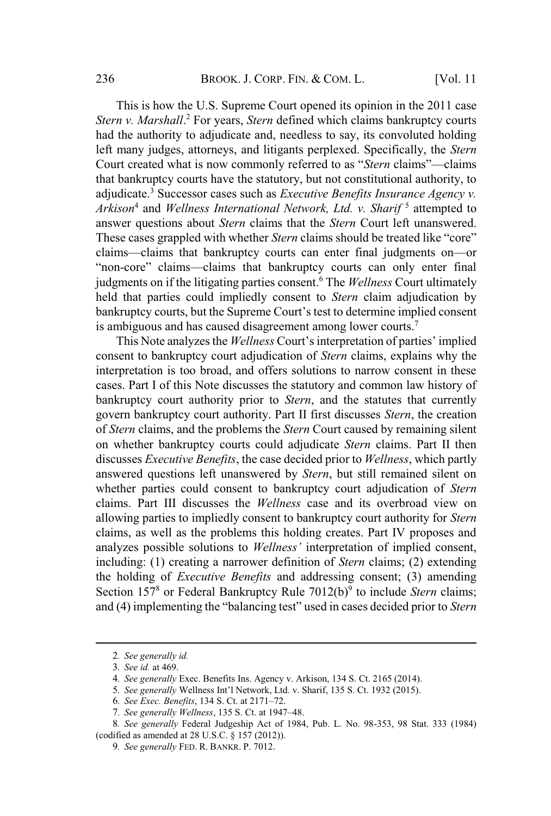This is how the U.S. Supreme Court opened its opinion in the 2011 case *Stern v. Marshall*. <sup>2</sup> For years, *Stern* defined which claims bankruptcy courts had the authority to adjudicate and, needless to say, its convoluted holding left many judges, attorneys, and litigants perplexed. Specifically, the *Stern* Court created what is now commonly referred to as "*Stern* claims"—claims that bankruptcy courts have the statutory, but not constitutional authority, to adjudicate.<sup>3</sup> Successor cases such as *Executive Benefits Insurance Agency v. Arkison*<sup>4</sup> and *Wellness International Network, Ltd. v. Sharif* <sup>5</sup> attempted to answer questions about *Stern* claims that the *Stern* Court left unanswered. These cases grappled with whether *Stern* claims should be treated like "core"<br>These cases grappled with whether *Stern* claims should be treated like "core" claims—claims that bankruptcy courts can enter final judgments on—or<br>claims—claims that bankruptcy courts can enter final judgments on—or claims—claims that bankruptcy courts can enter final judgments on—or "non-core" claims—claims that bankruptcy courts can only enter final judgments on if the litigating parties consent.<sup>6</sup> The *Wellness* Court ultimately held that parties could impliedly consent to *Stern* claim adjudication by bankruptcy courts, but the Supreme Court's test to determine implied consent is ambiguous and has caused disagreement among lower courts.<sup>7</sup> bankruptcy courts, but the Supreme Court's test to determine implied consent<br>is ambiguous and has caused disagreement among lower courts.<sup>7</sup><br>This Note analyzes the *Wellness* Court's interpretation of parties' implied

consent to bankruptcy court adjudication of *Stern* claims, explains why the interpretation is too broad, and offers solutions to narrow consent in these cases. Part I of this Note discusses the statutory and common law history of bankruptcy court authority prior to *Stern*, and the statutes that currently govern bankruptcy court authority. Part II first discusses *Stern*, the creation of *Stern* claims, and the problems the *Stern* Court caused by remaining silent on whether bankruptcy courts could adjudicate *Stern* claims. Part II then discusses *Executive Benefits*, the case decided prior to *Wellness*, which partly answered questions left unanswered by *Stern*, but still remained silent on whether parties could consent to bankruptcy court adjudication of *Stern* claims. Part III discusses the *Wellness* case and its overbroad view on allowing parties to impliedly consent to bankruptcy court authority for *Stern* claims, as well as the problems this holding creates. Part IV proposes and analyzes possible solutions to *Wellness'* interpretation of implied consent, including: (1) creating a narrower definition of *Stern* claims; (2) extending the holding of *Executive Benefits* and addressing consent; (3) amending Section 157<sup>8</sup> or Federal Bankruptcy Rule 7012(b)<sup>9</sup> to include *Stern* claims; (4) implementing the "balancing test" used in cases decided prior to *Stern*

<sup>2</sup>*. See generally id.*

<sup>3</sup>*. See id.* at 469.

<sup>4</sup>*. See generally* Exec. Benefits Ins. Agency v. Arkison, 134 S. Ct. 2165 (2014). <sup>5</sup>*. See generally* Wellness Int'l Network, Ltd. v. Sharif, <sup>135</sup> S. Ct. <sup>1932</sup> (2015). <sup>6</sup>*. See Exec. Benefits*, <sup>134</sup> S. Ct. at <sup>2171</sup>–72.

<sup>7</sup>*. See generally Wellness*, 135 S. Ct. at 1947–48.

<sup>8</sup>*. See generally* Federal Judgeship Act of 1984, Pub. L. No. 98-353, 98 Stat. 333 (1984) (codified as amended at 28 U.S.C. § 157 (2012)).

<sup>9</sup>*. See generally* FED. R. BANKR. P. 7012.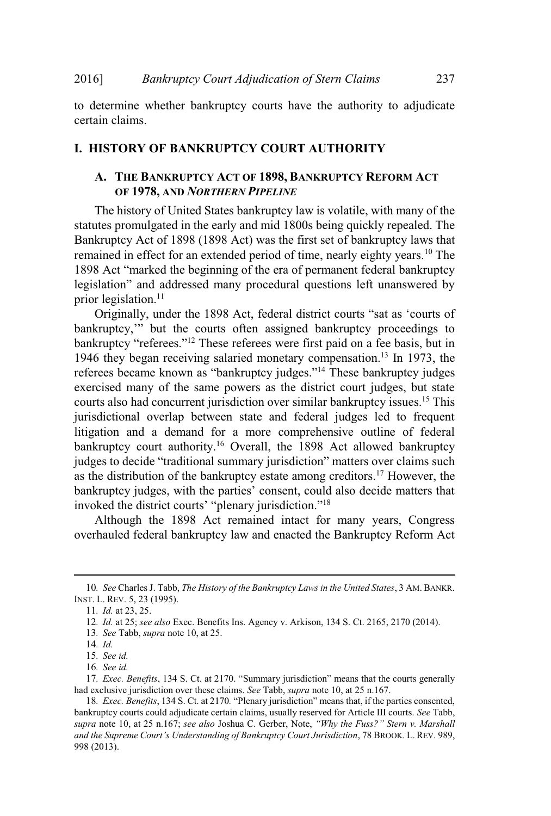to determine whether bankruptcy courts have the authority to adjudicate certain claims.

#### **I. HISTORY OF BANKRUPTCY COURT AUTHORITY**

# **A. THE BANKRUPTCY ACT OF 1898, BANKRUPTCY REFORM ACT OF 1978, AND** *NORTHERN PIPELINE*

The history of United States bankruptcy law is volatile, with many of the statutes promulgated in the early and mid 1800s being quickly repealed. The Bankruptcy Act of 1898 (1898 Act) was the first set of bankruptcy laws that remained in effect for an extended period of time, nearly eighty years.<sup>10</sup> The Example of the control of the era of permanent federal bankruptcy and addressed many procedural questions left unanswered by legislation" and addressed many procedural questions left unanswered by ng and the control of the control of the control of the control of the control of the control of the control of the control of the control of the control of the control of the control of the control of the control of the c

prior legislation.<sup>11</sup><br>
Originally, under the 1898 Act, federal district courts "sat as 'courts of<br>
bankruptcy," but the courts often assigned bankruptcy proceedings to bankruptcy," but the courts often assigned bankruptcy proceedings to bankruptcy "referees."<sup>12</sup> These referees were first paid on a fee basis, but in 1946 they began receiving salaried monetary compensation.<sup>13</sup> In 1973, the referees became known as "bankruptcy judges."<sup>14</sup> These bankruptcy judges exercised many of the same powers as the district court judges, but state courts also had concurrent jurisdiction over similar bankruptcy issues.<sup>15</sup> This jurisdictional overlap between state and federal judges led to frequent litigation and a demand for a more comprehensive outline of federal bankruptcy court authority.<sup>16</sup> Overall, the 1898 Act allowed bankruptcy judges to decide "traditional summary jurisdiction" matters over claims such as the distribution of the bankruptcy estate among creditors.<sup>17</sup> However, the bankruptcy judges, with the parties' consent, could also decide matters that as the distriction of the difficult equality between the parties' consent, could<br>invoked the district courts' "plenary jurisdiction."<sup>18</sup>

Although the 1898 Act remained intact for many years, Congress overhauled federal bankruptcy law and enacted the Bankruptcy Reform Act

<sup>10</sup>*. See* Charles J. Tabb, *The History of the Bankruptcy Laws in the United States*, 3 AM. BANKR. INST. L. REV. 5, 23 (1995).

<sup>11</sup>*. Id.* at 23, 25.

<sup>12</sup>*. Id.* at 25; *see also* Exec. Benefits Ins. Agency v. Arkison, 134 S. Ct. 2165, 2170 (2014).

<sup>13</sup>*. See* Tabb, *supra* note 10, at 25.

<sup>14</sup>*. Id.*

<sup>15</sup>*. See id.*

<sup>16</sup>*. See id.*

<sup>17</sup>*. Exec. Benefits*, <sup>134</sup> S. Ct. at 2170. "Summary jurisdiction" means that the courts generally had exclusive jurisdiction over these claims. *See* Tabb, *supra* note 10, at 25 n.167.

<sup>18</sup>*. Exec. Benefits*, 134 S. Ct. at <sup>2170</sup>*.* "Plenary jurisdiction" means that, if the parties consented, bankruptcy courts could adjudicate certain claims, usually reserved for Article III courts. *See* Tabb, *supra* note 10, at 25 n.167; *see also* Joshua C. Gerber, Note, *"Why the Fuss?" Stern v. Marshall and the Supreme Court's Understanding of Bankruptcy Court Jurisdiction*, 78 BROOK. L. REV. 989, 998 (2013).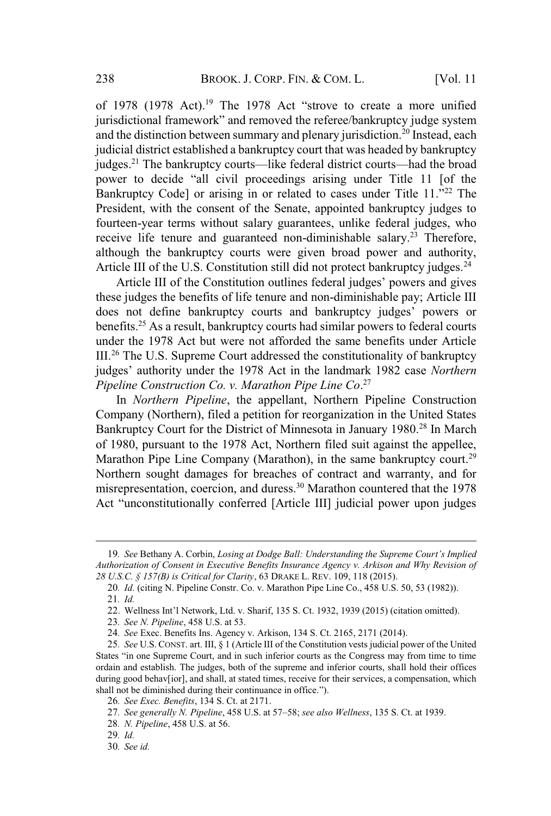BROOK.J.CORP.FIN. & COM.L.<br>of 1978 (1978 Act).<sup>19</sup> The 1978 Act "strove to create a more unified<br>jurisdictional framework" and removed the referee/bankruptcy judge system and the distinction between summary and plenary jurisdiction.<sup>20</sup> Instead, each judicial district established a bankruptcy court that was headed by bankruptcy judges.<sup>21</sup> The bankruptcy courts—like federal district courts—had the broad judges.<sup>21</sup> The bankruptcy courts—like federal district courts—had the broad power to decide "all civil proceedings arising under Title 11 [of the Bankruptcy Code] or arising in or related to cases under Title 11."<sup>22</sup> The President, with the consent of the Senate, appointed bankruptcy judges to fourteen-year terms without salary guarantees, unlike federal judges, who receive life tenure and guaranteed non-diminishable salary.<sup>23</sup> Therefore, although the bankruptcy courts were given broad power and authority, Article III of the U.S. Constitution still did not protect bankruptcy judges.<sup>24</sup><br>Article III of the Constitution outlines federal judges' powers and gives

these judges the benefits of life tenure and non-diminishable pay; Article III does not define bankruptcy courts and bankruptcy judges' powers or benefits.<sup>25</sup> As a result, bankruptcy courts had similar powers to federal courts under the 1978 Act but were not afforded the same benefits under Article III.<sup>26</sup> The U.S. Supreme Court addressed the constitutionality of bankruptcy judges' authority under the 1978 Act in the landmark 1982 case *Northern Pipeline Construction Co. v. Marathon Pipe Line Co*. 27

In *Northern Pipeline*, the appellant, Northern Pipeline Construction Company (Northern), filed a petition for reorganization in the United States Bankruptcy Court for the District of Minnesota in January 1980.<sup>28</sup> In March of 1980, pursuant to the 1978 Act, Northern filed suit against the appellee, Marathon Pipe Line Company (Marathon), in the same bankruptcy court.<sup>29</sup> Northern sought damages for breaches of contract and warranty, and for misrepresentation, coercion, and duress.<sup>30</sup> Marathon countered that the 1978 Act "unconstitutionally conferred [Article III] judicial power upon judges

<sup>19</sup>*. See* Bethany A. Corbin, *Losing at Dodge Ball: Understanding the Supreme Court's Implied Authorization of Consent in Executive Benefits Insurance Agency v. Arkison and Why Revision of 28 U.S.C. § 157(B) is Critical for Clarity*, 63 DRAKE L. REV. 109, 118 (2015).

<sup>20</sup>*. Id.* (citing N. Pipeline Constr. Co. v. Marathon Pipe Line Co., 458 U.S. 50, 53 (1982)). 21*. Id.*

<sup>22</sup>. Wellness Int'l Network, Ltd. v. Sharif, 135 S. Ct. 1932, <sup>1939</sup> (2015) (citation omitted).

<sup>23</sup>*. See N. Pipeline*, 458 U.S. at 53.

<sup>24</sup>*. See* Exec. Benefits Ins. Agency v. Arkison, 134 S. Ct. 2165, 2171 (2014).

<sup>25</sup>*. See* U.S. CONST. art. III, § 1 (Article III of the Constitution vests judicial power of the United States "in one Supreme Court, and in such inferior courts as the Congress may from time to time ordain and establish. The judges, both of the supreme and inferior courts, shall hold their offices during good behav[ior], and shall, at stated times, receive for their services, a compensation, which shall not be diminished during their continuance in office."). 27*. See Exec. Benefits*, 134 S. Ct. at 2171.<br>27*. See generally N. Pipeline*, 458 U.S. at 57–58; *see also Wellness*, 135 S. Ct. at 1939.

<sup>26</sup>*. See Exec. Benefits*, 134 S. Ct. at 2171.

<sup>28</sup>*. N. Pipeline*, 458 U.S. at 56.

<sup>29</sup>*. Id.*

<sup>30</sup>*. See id.*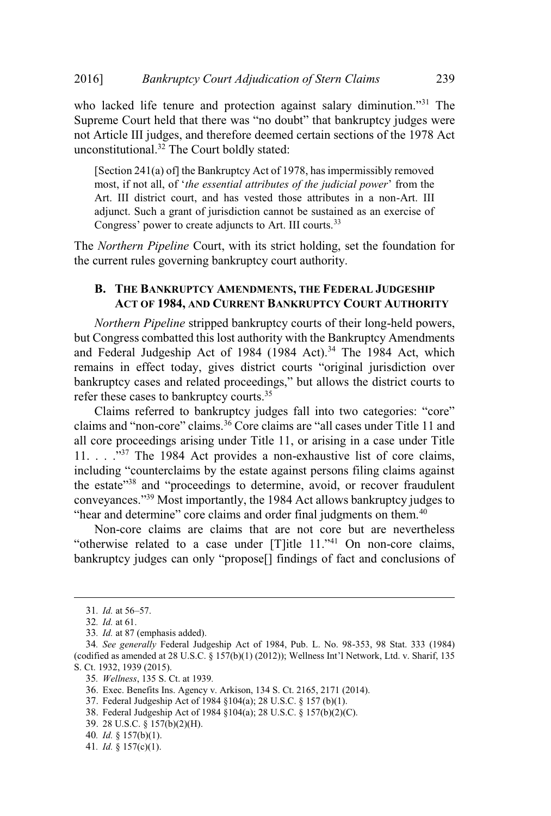EDIOJ BANKPUPICY COUPT Adjudication by Stern Claims<br>
Supreme Court held that there was "no doubt" that bankruptcy judges were not Article III judges, and therefore deemed certain sections of the 1978 Act unconstitutional.<sup>32</sup> The Court boldly stated:

[Section 241(a) of] the Bankruptcy Act of 1978, hasimpermissibly removed most, if not all, of '*the essential attributes of the judicial power*' from the Art. III district court, and has vested those attributes in a non-Art. III adjunct. Such a grant of jurisdiction cannot be sustained as an exercise of Congress' power to create adjuncts to Art. III courts.<sup>33</sup>

The *Northern Pipeline* Court, with its strict holding, set the foundation for the current rules governing bankruptcy court authority.

# **B. THE BANKRUPTCY AMENDMENTS, THE FEDERAL JUDGESHIP ACT OF 1984, AND CURRENT BANKRUPTCY COURT AUTHORITY**

*Northern Pipeline* stripped bankruptcy courts of their long-held powers, but Congress combatted this lost authority with the Bankruptcy Amendments and Federal Judgeship Act of 1984 (1984 Act).<sup>34</sup> The 1984 Act, which<br>remains in effect today, gives district courts "original jurisdiction over remains in effect today, gives district courts "original jurisdiction over bankruptcy cases and related proceedings," but allows the district courts to refer these cases to bankruptcy courts.<sup>35</sup> referred to bankruptcy courts.<sup>35</sup><br>referred to bankruptcy indees fall into two categories: "core"

 $\frac{1}{C}$ alm are terred to bankruptcy judges fall into two categories: "core"<br>and "non-core" claims.<sup>36</sup> Core claims are "all cases under Title 11 and all core proceedings arising under Title 11, or arising in a case under Title  $11. \ldots$   $\cdot$   $\cdot$  The 1984 Act provides a non-exhaustive list of core claims, including "counterclaims by the estate against persons filing claims against the estate of the estate provides a non-exhaustive interest of education<br>including "counterclaims by the estate against persons filing claims against<br>the estate"<sup>38</sup> and "proceedings to determine, avoid, or recover fraudul the estate<sup>"38</sup> and "proceedings to determine, avoid, or recover fraudulent state and proceedings to determine, avoid, or recover maddle conveyances."<sup>39</sup> Most importantly, the 1984 Act allows bankruptcy judges to "hear and determine" core claims and order final judgments on them.<sup>40</sup>

Non-core claims are claims that are not core but are nevertheless Fred that accessions are claims and other interpretent parameters.<br>
"On-core claims are claims that are not core but are nevertheless<br>
"otherwise related to a case under [T]itle 11."<sup>41</sup> On non-core claims,<br>
bankruptcy jud

<sup>31</sup>*. Id.* at <sup>56</sup>–57.

<sup>32</sup>*. Id.* at 61.

<sup>33</sup>*. Id.* at 87 (emphasis added).

<sup>34.</sup> *See generally* Federal Judgeship Act of 1984, Pub. L. No. 98-353, 98 Stat. 333 (1984) (codified as amended at 28 U.S.C. § 157(b)(1) (2012)); Wellness Int'l Network, Ltd. v. Sharif, 135 S. Ct. 1932, 1939 (2015).

<sup>35</sup>*. Wellness*, 135 S. Ct. at 1939*.*

<sup>36</sup>. Exec. Benefits Ins. Agency v. Arkison, 134 S. Ct. 2165, 2171 (2014).

<sup>37</sup>. Federal Judgeship Act of 1984 §104(a); 28 U.S.C. § 157 (b)(1).

<sup>38</sup>. Federal Judgeship Act of 1984 §104(a); 28 U.S.C. § 157(b)(2)(C).

<sup>39</sup>. 28 U.S.C. § 157(b)(2)(H).

<sup>40</sup>*. Id.* § 157(b)(1).

<sup>41</sup>*. Id.* § 157(c)(1).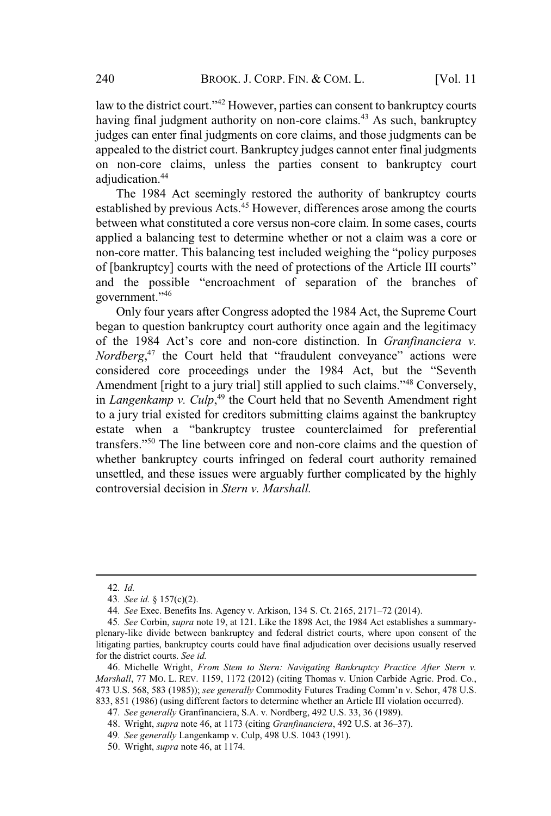law to the district court."<sup>42</sup> However, parties can consent to bankruptcy courts having final judgment authority on non-core claims.<sup>43</sup> As such, bankruptcy judges can enter final judgments on core claims, and those judgments can be appealed to the district court. Bankruptcy judges cannot enter final judgments on non-core claims, unless the parties consent to bankruptcy court adjudication.<sup>44</sup>

The 1984 Act seemingly restored the authority of bankruptcy courts established by previous Acts.<sup>45</sup> However, differences arose among the courts between what constituted a core versus non-core claim. In some cases, courts applied a balancing test to determine whether or not a claim was a core or non-core matter. This balancing test included weighing the "policy purposes perfect a canalising test to acternate whenever of need claim was a cere of non-core matter. This balancing test included weighing the "policy purposes of [bankruptcy] courts with the need of protections of the Article III and the possible "encroachment of separation of the branches of the branches" and the possible "encroachment of separation of the branches of government."46

Only four years after Congress adopted the 1984 Act, the Supreme Court began to question bankruptcy court authority once again and the legitimacy the 1984 Act's core and non-core distinction. In *Granfinanciera v*. *Nordberg*<sup>47</sup> the Court held that "fraudulent conveyance" actions were<br>considered core proceedings under the 1984 Act, but the "Seventh  $44$  Act's core and non-core distinction. In *Granfinanciera* v. Aboracerg, the Souri herd that Thatdatent conveyance derivers were<br>considered core proceedings under the 1984 Act, but the "Seventh<br>Amendment [right to a jury trial] still applied to such claims."<sup>48</sup> Conversely, in *Langenkamp v. Culp*, <sup>49</sup> the Court held that no Seventh Amendment right to a jury trial existed for creditors submitting claims against the bankruptcy to a jury trial existed for creditors submitting claims against the bankruptcy<br>estate when a "bankruptcy trustee counterclaimed for preferential transfers."<sup>50</sup> The line between core and non-core claims and the question of whether bankruptcy courts infringed on federal court authority remained unsettled, and these issues were arguably further complicated by the highly controversial decision in *Stern v. Marshall.*

<sup>42</sup>*. Id.*

<sup>43</sup>*. See id.* § 157(c)(2).

<sup>44</sup>*. See* Exec. Benefits Ins. Agency v. Arkison, <sup>134</sup> S. Ct. 2165, <sup>2171</sup>–72 (2014).

<sup>45</sup>*. See* Corbin, *supra* note 19, at 121. Like the 1898 Act, the 1984 Act establishes a summaryplenary-like divide between bankruptcy and federal district courts, where upon consent of the litigating parties, bankruptcy courts could have final adjudication over decisions usually reserved for the district courts. *See id.*

<sup>46</sup>. Michelle Wright, *From Stem to Stern: Navigating Bankruptcy Practice After Stern v. Marshall*, 77 MO. L. REV. 1159, 1172 (2012) (citing Thomas v. Union Carbide Agric. Prod. Co., <sup>473</sup> U.S. 568, 583 (1985)); *see generally* Commodity Futures Trading Comm'n v. Schor, <sup>478</sup> U.S. 833, 851 (1986) (using different factors to determine whether an Article III violation occurred).

<sup>47</sup>*. See generally* Granfinanciera, S.A. v. Nordberg, 492 U.S. 33, 36 (1989).

<sup>48</sup>. Wright, *supra* note 46, at <sup>1173</sup> (citing *Granfinanciera*, <sup>492</sup> U.S. at 36–37).

<sup>49</sup>*. See generally* Langenkamp v. Culp, 498 U.S. 1043 (1991).

<sup>50</sup>. Wright, *supra* note 46, at 1174.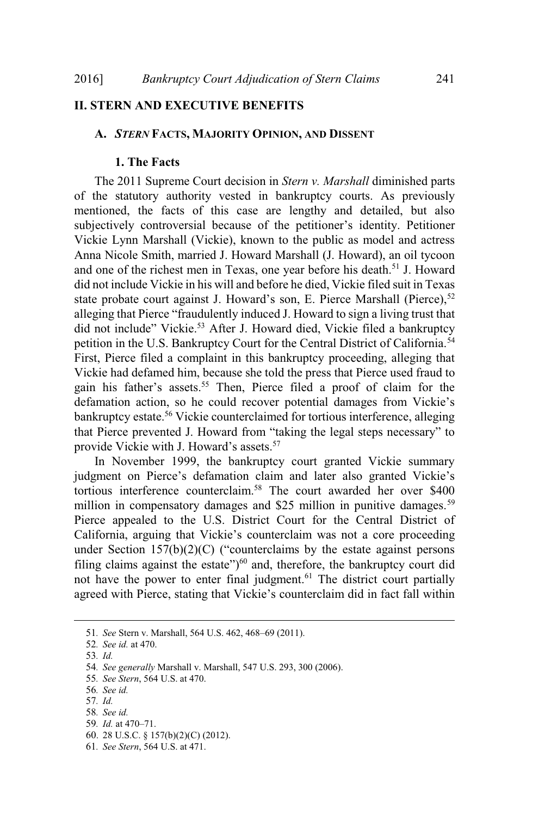# **II. STERN AND EXECUTIVE BENEFITS**

#### **A.** *STERN* **FACTS, MAJORITY OPINION, AND DISSENT**

#### **1. The Facts**

The 2011 Supreme Court decision in *Stern v. Marshall* diminished parts of the statutory authority vested in bankruptcy courts. As previously mentioned, the facts of this case are lengthy and detailed, but also subjectively controversial because of the petitioner's identity. Petitioner Vickie Lynn Marshall (Vickie), known to the public as model and actress Anna Nicole Smith, married J. Howard Marshall (J. Howard), an oil tycoon and one of the richest men in Texas, one year before his death.<sup>51</sup> J. Howard did not include Vickie in his will and before he died, Vickie filed suit in Texas state probate court against J. Howard's son, E. Pierce Marshall (Pierce),<sup>52</sup> alleging that Pierce "fraudulently induced J. Howard to sign a living trust that<br>alleging that Pierce "fraudulently induced J. Howard to sign a living trust that did procedure out did not include 3. The ward 5 Son, E. There Thankin (Treflex),<br>alleging that Pierce "fraudulently induced J. Howard to sign a living trust that<br>did not include" Vickie.<sup>53</sup> After J. Howard died, Vickie fi petition in the U.S. Bankruptcy Court for the Central District of California.<sup>54</sup> First, Pierce filed a complaint in this bankruptcy proceeding, alleging that Vickie had defamed him, because she told the press that Pierce used fraud to gain his father's assets.<sup>55</sup> Then, Pierce filed a proof of claim for the defamation action, so he could recover potential damages from Vickie's<br>defamation action, so he could recover potential damages from Vickie's bankruptcy estate.<sup>56</sup> Vickie counterclaimed for tortious interference, alleging that Pierce prevented J. Howard from "taking the legal steps necessary" to provide Vickie with J. Howard from "the Vickie with J. Howard's assets.<sup>57</sup>

In November 1999, the bankruptcy court granted Vickie summary judgment on Pierce's defamation claim and later also granted Vickie's tortious interference counterclaim.<sup>58</sup> The court awarded her over \$400 million in compensatory damages and \$25 million in punitive damages.<sup>59</sup> Pierce appealed to the U.S. District Court for the Central District of California, arguing that Vickie's counterclaim was not a core proceeding Eulifornia, arguing that Vickie's counterclaim was not a core proceeding<br>under Section 157(b)(2)(C) ("counterclaims by the estate against persons edifferentially distributed by the estate against persons filing claims against the estate")<sup>60</sup> and, therefore, the bankruptcy court did not have the power to enter final judgment.<sup>61</sup> The district court partially agreed with Pierce, stating that Vickie's counterclaim did in fact fall within

<sup>51</sup>*. See* Stern v. Marshall, <sup>564</sup> U.S. 462, 468–69 (2011).

<sup>52</sup>*. See id.* at 470.

<sup>53</sup>*. Id.*

<sup>54</sup>*. See generally* Marshall v. Marshall, 547 U.S. 293, 300 (2006).

<sup>55</sup>*. See Stern*, 564 U.S. at 470.

<sup>56</sup>*. See id.*

<sup>57</sup>*. Id.*

<sup>58</sup>*. See id.*

<sup>59</sup>*. Id.* at 470–71.

<sup>60</sup>. 28 U.S.C. § 157(b)(2)(C) (2012).

<sup>61</sup>*. See Stern*, 564 U.S. at 471.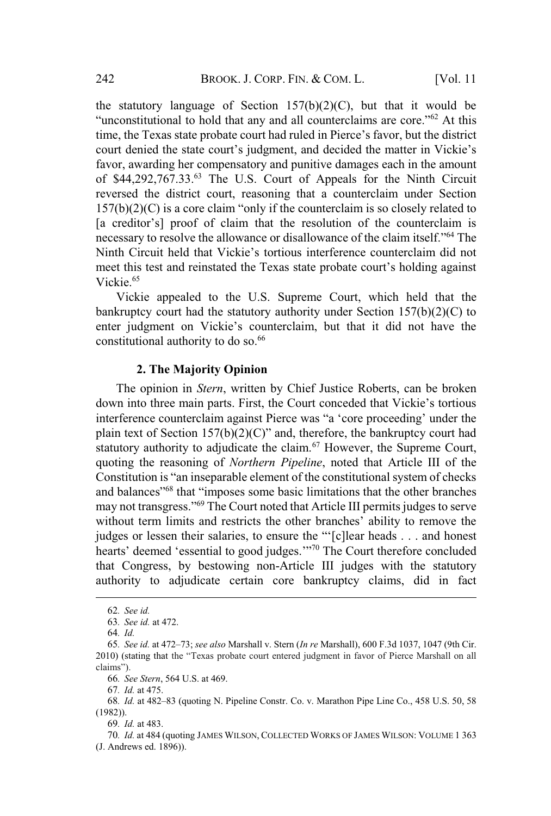the statutory language of Section  $157(b)(2)(C)$ , but that it would be iguage of Section 157(b)(2)(C), but that it would be to hold that any and all counterclaims are core."<sup>62</sup> At this the stattery ranging of section  $f(x)(s)(s)$ , out that it would be<br>"unconstitutional to hold that any and all counterclaims are core."<sup>62</sup> At this<br>time, the Texas state probate court had ruled in Pierce's favor, but the dist concernational to hold that any and an occineeralism are core. The ansition of the state probate court had ruled in Pierce's favor, but the district court denied the state court's judgment, and decided the matter in Vickie favor, awarding her compensatory and punitive damages each in the amount of \$44,292,767.33.<sup>63</sup> The U.S. Court of Appeals for the Ninth Circuit reversed the district court, reasoning that a counterclaim under Section  $157(b)(2)(C)$  is a core claim "only if the counterclaim is so closely related to  $[157(b)(2)(C)]$  is a core claim "only if the counterclaim is so closely related to <br>a creditor's] proof of claim that the resolution of the counterclaim is [a creditor's] proof of claim that the resolution of the counterclaim is nature of the counterclaim is<br>necessary to resolve the allowance or disallowance of the claim itself."<sup>64</sup> The<br>Ninth Circuit held that Vickie's tortious interference counterclaim did not meretosary to resorve the anomine of alsahomance of the claim holding.<br>Ninth Circuit held that Vickie's tortious interference counterclaim did not<br>meet this test and reinstated the Texas state probate court's holding again Vickie.<sup>65</sup>

Vickie appealed to the U.S. Supreme Court, which held that the bankruptcy court had the statutory authority under Section 157(b)(2)(C) to enter judgment on Vickie's counterclaim, but that it did not have the constitutional authority to do so.<sup>66</sup>

#### **2. The Majority Opinion**

The opinion in *Stern*, written by Chief Justice Roberts, can be broken down into three main parts. First, the Court conceded that Vickie's tortious Interference counterclaim against Pierce was "a 'core proceeding' under the district of the Court conceded that Vickie's tortious interference counterclaim against Pierce was "a 'core proceeding' under the plant and the state of Section 157(b)(2)(C)" and, therefore, the bankruptcy court had plain text of Section 157(b)(2)(C)" and, therefore, the bankruptcy court had statutory authority to adjudicate the claim.<sup>67</sup> However, the Supreme Court, quoting the reasoning of *Northern Pipeline*, noted that Article III of the Constitution is "an inseparable element of the constitutional system of checks From the calculation of the Constitution is "an inseparable sometiments of the other branches that the other branches<br>and balances<sup>"68</sup> that "imposes some basic limitations that the other branches<br>may not transgress."<sup>69</sup> The Court noted that Article III permits judges to serve may not transgress."<sup>69</sup> The Court noted that Article III permits judges to serve<br>without term limits and restricts the other branches' ability to remove the judges to serve<br>without term limits and restricts the other branches' ability to remove the<br>indees or lessen their salaries, to ensure the "'[c]lear heads . . . and honest hearts' deemed 'essential to good judges.'"<sup>70</sup> The Court therefore concluded hearts' deemed 'essential to good judges.'"<sup>70</sup> The Court therefore concluded that Congress, by bestowing non-Article III judges with the statutory authority to adjudicate certain core bankruptcy claims, did in fact

64*. Id.*

67*. Id.* at 475.

69*. Id.* at 483.

<sup>62</sup>*. See id.*

<sup>63</sup>*. See id.* at 472.

<sup>64.</sup> Id.<br>
65. See id. at 472–73; see also Marshall v. Stern (In re Marshall), 600 F.3d 1037, 1047 (9th Cir.<br>
65. See id. at 472–73; see also Marshall v. Stern (In re Marshall), 600 F.3d 1037, 1047 (9th Cir.<br>
2010) (stating 2010) (stating that the "Texas probate court entered judgment in favor of Pierce Marshall on all claims").

<sup>66</sup>*. See Stern*, 564 U.S. at 469.

<sup>68</sup>*. Id.* at 482–83 (quoting N. Pipeline Constr. Co. v. Marathon Pipe Line Co., <sup>458</sup> U.S. 50, <sup>58</sup> (1982)).

<sup>70</sup>*. Id.* at 484 (quoting JAMES WILSON, COLLECTED WORKS OF JAMES WILSON: VOLUME 1 363 (J. Andrews ed. 1896)).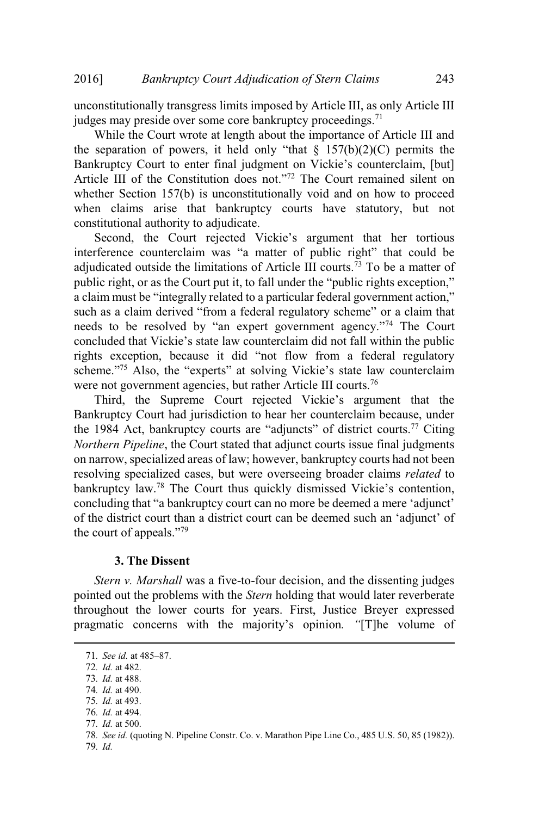unconstitutionally transgress limits imposed by Article III, as only Article III judges may preside over some core bankruptcy proceedings.<sup>71</sup>

While the Court wrote at length about the importance of Article III and<br>separation of powers, it held only "that  $\frac{8}{157(b)(2)(C)}$  permits the Julie while the court write at length about the importance of finite H and<br>the separation of powers, it held only "that  $\S 157(b)(2)(C)$  permits the<br>Bankruptcy Court to enter final judgment on Vickie's counterclaim. [but]  $A$ rticle III of the Constitution does not."<sup>72</sup> The Court remained silent on Article III of the Constitution does not."<sup>72</sup> The Court remained silent on whether Section 157(b) is unconstitutionally void and on how to proceed when claims arise that bankruptcy courts have statutory, but not when claims anset that cannadate.

onstitutional authority to adjudicate.<br>
Second, the Court rejected Vickie's argument that her tortious<br>
interference counterclaim was "a matter of public right" that could be adjudicated outside the limitations of Article III courts.<sup>73</sup> To be a matter of public right, or as the Court put it, to fall under the "public rights exception." a claim must be "integrally related to a particular federal government action,"<br>a claim must be "integrally related to a particular federal government action." such as a claim derived "from a federal regulatory scheme" or a claim that also a claim derived "from a federal regulatory scheme" or a claim that such as a claim derived "from a federal regulatory scheme" or a claim that such as a claim derived "from a federal regulatory scheme" or a claim that needs to be resolved by "an expert government agency."<sup>74</sup> The Court concluded that Vickie's state law counterclaim did not fall within the public rights exception, because it did "not flow from a federal regulatory<br>rights exception, because it did "not flow from a federal regulatory rights exception scheme."<sup>75</sup> Also, the "experts" at solving Vickie's state law counterclaim were not government agencies, but rather Article III courts.<sup>76</sup>

Third, the Supreme Court rejected Vickie's argument that the Bankruptcy Court had jurisdiction to hear her counterclaim because, under the 1984 Act, bankruptcy courts are "adjuncts" of district courts.<sup>77</sup> Citing *Northern Pipeline*, the Court stated that adjunct courts issue final judgments on narrow, specialized areas of law; however, bankruptcy courts had not been resolving specialized cases, but were overseeing broader claims *related* to bankruptcy law.<sup>78</sup> The Court thus quickly dismissed Vickie's contention, conving operating cases, our were overseeing creater claims related to<br>bankruptcy law.<sup>78</sup> The Court thus quickly dismissed Vickie's contention,<br>concluding that "a bankruptcy court can no more be deemed a mere 'adjunct' of the district court than a district court can be deemed a mere 'adjunct' of the district court than a district court can be deemed such an 'adjunct' of of the district court that<br>the court of appeals."<sup>79</sup>

#### **3. The Dissent**

*Stern v. Marshall* was a five-to-four decision, and the dissenting judges pointed out the problems with the *Stern* holding that would later reverberate throughout the lower courts for years. First, Justice Breyer expressed pragmatic concerns with the majority's opinion*. "*[T]he volume of

77*. Id.* at 500.

<sup>71</sup>*. See id.* at 485–87.

<sup>72</sup>*. Id.* at 482.

<sup>73</sup>*. Id.* at 488.

<sup>74</sup>*. Id.* at 490.

<sup>75</sup>*. Id.* at 493.

<sup>76</sup>*. Id.* at 494.

<sup>78</sup>*. See id.* (quoting N. Pipeline Constr. Co. v. Marathon Pipe Line Co., 485 U.S. 50, 85 (1982)).

<sup>79</sup>*. Id.*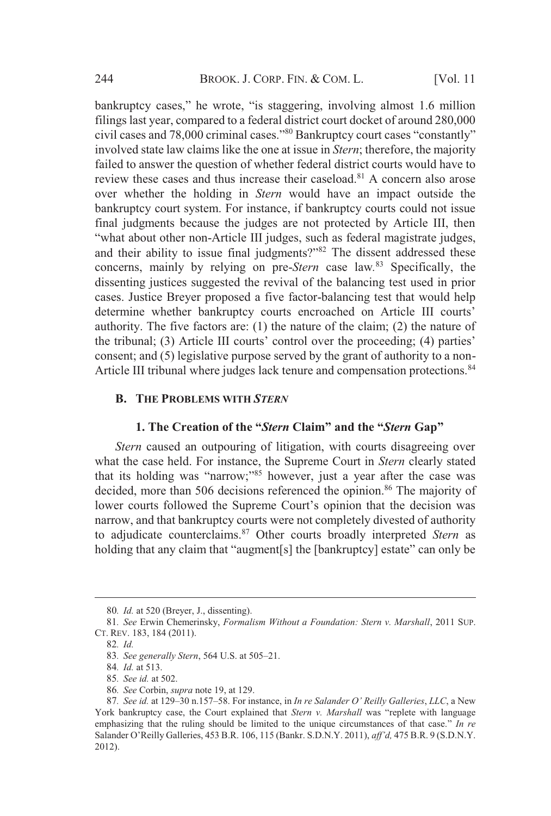$244$  BROOK. J. CORP. FIN. & COM. L.<br>bankruptcy cases." he wrote. "is staggering, involving almost 1.6 million filings last year, compared to a federal district court docket of around 280,000 civil cases and 78,000 criminal cases."<sup>80</sup> Bankruptcy court cases "constantly" involved state law claims like the one at issue in *Stern*; therefore, the majority failed to answer the question of whether federal district courts would have to review these cases and thus increase their caseload.<sup>81</sup> A concern also arose over whether the holding in *Stern* would have an impact outside the bankruptcy court system. For instance, if bankruptcy courts could not issue final judgments because the judges are not protected by Article III, then "what about other non-Article III judges, such as federal magistrate judges, and their ability to issue final judges, such as federal magistrate judges, and their ability to issue final judgments?" $82$  The dissent addressed these concerns, mainly by relying on pre-*Stern* case law*.* <sup>83</sup> Specifically, the dissenting justices suggested the revival of the balancing test used in prior cases. Justice Breyer proposed a five factor-balancing test that would help determine whether bankruptcy courts encroached on Article III courts' authority. The five factors are: (1) the nature of the claim; (2) the nature of the tribunal; (3) Article III courts' control over the proceeding; (4) parties' consent; and (5) legislative purpose served by the grant of authority to a non-Article III tribunal where judges lack tenure and compensation protections.<sup>84</sup>

#### **B. THE PROBLEMS WITH** *STERN*

# **1. The Creation of the "***Stern* **Claim" and the "***Stern* **Gap"**

*Stern* caused an outpouring of litigation, with courts disagreeing over what the case held. For instance, the Supreme Court in *Stern* clearly stated that its holding was "narrow;"85 however, just <sup>a</sup> year after the case was decided, more than 506 decisions referenced the opinion.<sup>86</sup> The majority of lower courts followed the Supreme Court's opinion that the decision was narrow, and that bankruptcy courts were not completely divested of authority to adjudicate counterclaims. <sup>87</sup> Other courts broadly interpreted *Stern* as holding that any claim that "augment[s] the [bankruptcy] estate" can only be

<sup>80</sup>*. Id.* at 520 (Breyer, J., dissenting).

<sup>81</sup>*. See* Erwin Chemerinsky, *Formalism Without a Foundation: Stern v. Marshall*, 2011 SUP. CT. REV. 183, 184 (2011).

<sup>82</sup>*. Id.*

<sup>83</sup>*. See generally Stern*, <sup>564</sup> U.S. at 505–21.

<sup>84</sup>*. Id.* at 513.

<sup>85</sup>*. See id.* at 502.

<sup>86</sup>*. See* Corbin, *supra* note 19, at 129.

<sup>87</sup>*. See id.* at <sup>129</sup>–30 n.157–58. For instance, in *In re Salander <sup>O</sup>' Reilly Galleries*, *LLC*, a New 87. See id. at 129–30 n.157–58. For instance, in *In re Salander O' Reilly Galleries, LLC*, a New York bankruptcy case, the Court explained that *Stern v. Marshall* was "replete with language emphasizing that the ruling should be limited to the unique circumstances of that case." *In re* emphasizing that the ruling should be limited to the unique circumstances of that case." In re Salander O'Reilly Galleries, 453 B.R. 106, 115 (Bankr. S.D.N.Y. 2011), *aff'd*, 475 B.R. 9 (S.D.N.Y. 2012).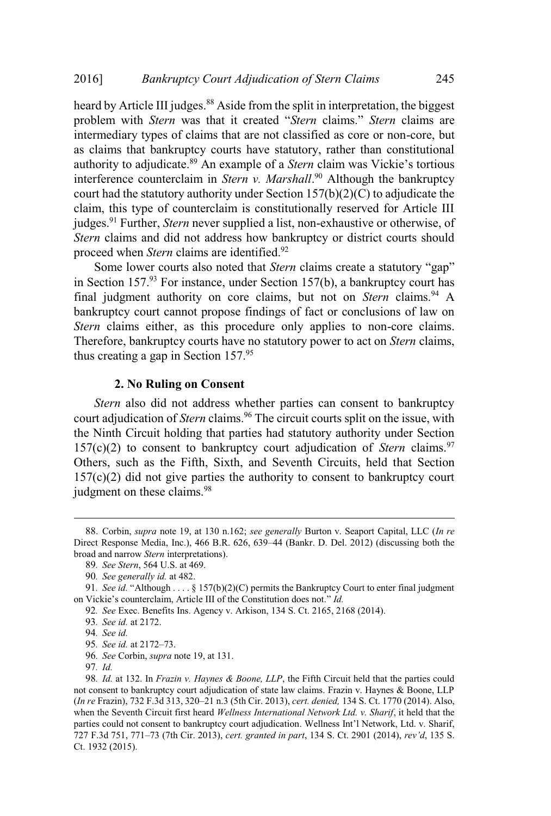heard by Article III judges.<sup>88</sup> Aside from the split in interpretation, the biggest problem with *Stern* was that it created "*Stern* claims." *Stern* claims are intermediary types of claims that are not classified as core or non-core, but as claims that bankruptcy courts have statutory, rather than constitutional authority to adjudicate.<sup>89</sup> An example of <sup>a</sup> *Stern* claim was Vickie's tortious interference counterclaim in *Stern v. Marshall*. <sup>90</sup> Although the bankruptcy court had the statutory authority under Section 157(b)(2)(C) to adjudicate the claim, this type of counterclaim is constitutionally reserved for Article III judges.<sup>91</sup> Further, *Stern* never supplied a list, non-exhaustive or otherwise, of *Stern* claims and did not address how bankruptcy or district courts should proceed when *Stern* claims are identified.<sup>92</sup>

Some lower courts also noted that *Stern* claims create a statutory "gap" in Section  $157<sup>93</sup>$  For instance, under Section 157(b), a bankruptcy court has final judgment authority on core claims, but not on *Stern* claims.<sup>94</sup> A bankruptcy court cannot propose findings of fact or conclusions of law on *Stern* claims either, as this procedure only applies to non-core claims. Therefore, bankruptcy courts have no statutory power to act on *Stern* claims, thus creating a gap in Section  $157^{95}$ 

#### **2. No Ruling on Consent**

*Stern* also did not address whether parties can consent to bankruptcy court adjudication of *Stern* claims.<sup>96</sup> The circuit courts split on the issue, with the Ninth Circuit holding that parties had statutory authority under Section  $157(c)(2)$  to consent to bankruptcy court adjudication of *Stern* claims.<sup>97</sup> Others, such as the Fifth, Sixth, and Seventh Circuits, held that Section  $157(c)(2)$  did not give parties the authority to consent to bankruptcy court judgment on these claims.<sup>98</sup>

93*. See id.* at 2172.

<sup>88</sup>. Corbin, *supra* note 19, at 130 n.162; *see generally* Burton v. Seaport Capital, LLC (*In re* Direct Response Media, Inc.), <sup>466</sup> B.R. 626, <sup>639</sup>–44 (Bankr. D. Del. 2012) (discussing both the broad and narrow *Stern* interpretations).

<sup>89</sup>*. See Stern*, 564 U.S. at 469.

<sup>90</sup>*. See generally id.* at 482.

<sup>91</sup>*. See id.* "Although . . . . § 157(b)(2)(C) permits the Bankruptcy Court to enter final judgment 91. See *id.* "Although ..., § 157(b)(2)(C) permits the Bankruptcy on Vickie's counterclaim, Article III of the Constitution does not." *Id.* 

<sup>92</sup>*. See* Exec. Benefits Ins. Agency v. Arkison, 134 S. Ct. 2165, 2168 (2014).

<sup>94</sup>*. See id.*

<sup>95</sup>*. See id.* at 2172–73.

<sup>96</sup>*. See* Corbin, *supra* note 19, at 131.

<sup>97</sup>*. Id.*

<sup>98</sup>*. Id.* at 132. In *Frazin v. Haynes & Boone, LLP*, the Fifth Circuit held that the parties could not consent to bankruptcy court adjudication of state law claims. Frazin v. Haynes & Boone, LLP (*In re* Frazin), 732 F.3d 313, <sup>320</sup>–21 n.3 (5th Cir. 2013), *cert. denied,* <sup>134</sup> S. Ct. <sup>1770</sup> (2014). Also, when the Seventh Circuit first heard Wellness International Network Ltd. v. Sharif, it held that the<br>parties could not consent to bankruptcy court adjudication. Wellness Int'l Network. Ltd. v. Sharif, <sup>727</sup> F.3d 751, 771–73 (7th Cir. 2013), *cert. granted in part*, <sup>134</sup> S. Ct. <sup>2901</sup> (2014), *rev'd*, 135 S. Ct. 1932 (2015).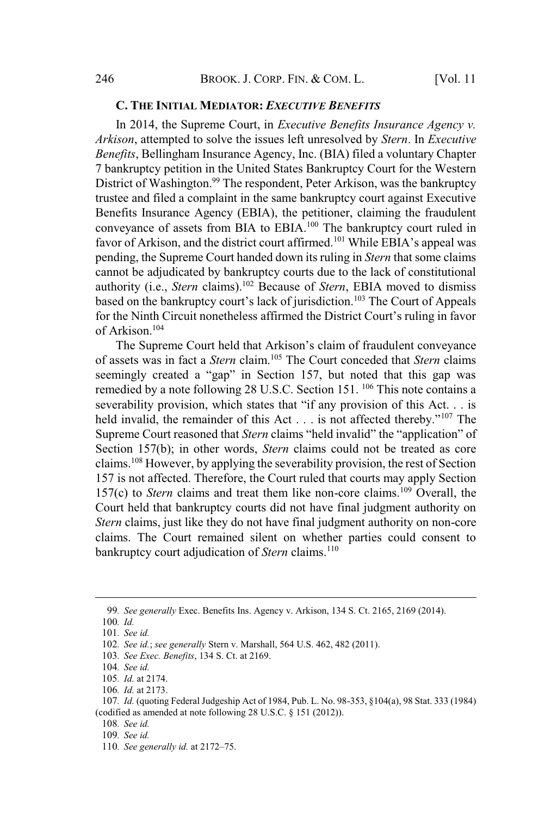## **C. THE INITIAL MEDIATOR:** *EXECUTIVE BENEFITS*

In 2014, the Supreme Court, in *Executive Benefits Insurance Agency v. Arkison*, attempted to solve the issues left unresolved by *Stern*. In *Executive Benefits*, Bellingham Insurance Agency, Inc. (BIA) filed a voluntary Chapter 7 bankruptcy petition in the United States Bankruptcy Court for the Western District of Washington.<sup>99</sup> The respondent, Peter Arkison, was the bankruptcy trustee and filed a complaint in the same bankruptcy court against Executive Benefits Insurance Agency (EBIA), the petitioner, claiming the fraudulent Exercis instance Tigency (EBT), the performer, claiming the matathemetric conveyance of assets from BIA to EBIA.<sup>100</sup> The bankruptcy court ruled in favor of Arkison, and the district court affirmed.<sup>101</sup> While EBIA's appea pending, the Supreme Court handed down its ruling in *Stern* that some claims cannot be adjudicated by bankruptcy courts due to the lack of constitutional edifferently (i.e., *Stern* claims).<sup>102</sup> Because of *Stern*, EBIA moved to dismiss based on the bankruptcy court's lack of jurisdiction.<sup>103</sup> The Court of Appeals for the Ninth Circuit nonetheless affirmed the District Court's ruling in favor<br>for the Ninth Circuit nonetheless affirmed the District Court's ruling in favor of Arkison.<sup>104</sup> for the Ninth Circuit nonetheless affirmed the District Court's ruling in favor<br>of Arkison.<sup>104</sup><br>The Supreme Court held that Arkison's claim of fraudulent conveyance

of assets was in fact a *Stern* claim.<sup>105</sup> The Court conceded that *Stern* claims seemingly created a "gap" in Section 157, but noted that this gap was remedied by a note following 28 U.S.C. Section 151, <sup>106</sup> This note contains a severability provision, which states that "if any provision of this Act... is severability provision, which states that "if any provision of this Act... is<br>held invalid, the remainder of this Act ... is not affected thereby."<sup>107</sup> The held invalid, the remainder of this Act . . . is not affected thereby."<sup>107</sup> The Supreme Court reasoned that *Stern* claims "held invalid" the "application" of Section 157(b); in other words, *Stern* claims could not be treated as core claims.<sup>108</sup> However, by applying the severability provision, the rest of Section 157 is not affected. Therefore, the Court ruled that courts may apply Section 157 $(c)$  to *Stern* claims and treat them like non-core claims.<sup>109</sup> Overall, the Court held that bankruptcy courts did not have final judgment authority on *Stern* claims, just like they do not have final judgment authority on non-core claims. The Court remained silent on whether parties could consent to bankruptcy court adjudication of *Stern* claims.<sup>110</sup>

106*. Id.* at 2173.

<sup>99</sup>*. See generally* Exec. Benefits Ins. Agency v. Arkison, 134 S. Ct. 2165, 2169 (2014).

<sup>100</sup>*. Id.*

<sup>101</sup>*. See id.*

<sup>102</sup>*. See id.*; *see generally* Stern v. Marshall, 564 U.S. 462, 482 (2011).

<sup>103</sup>*. See Exec. Benefits*, 134 S. Ct. at 2169.

<sup>104</sup>*. See id.*

<sup>105</sup>*. Id.* at 2174.

<sup>107</sup>*. Id.* (quoting Federal Judgeship Act of 1984, Pub. L. No. 98-353, §104(a), 98 Stat. 333 (1984) (codified as amended at note following 28 U.S.C. § 151 (2012)).

<sup>108</sup>*. See id.*

<sup>109</sup>*. See id.*

<sup>110</sup>*. See generally id.* at <sup>2172</sup>–75.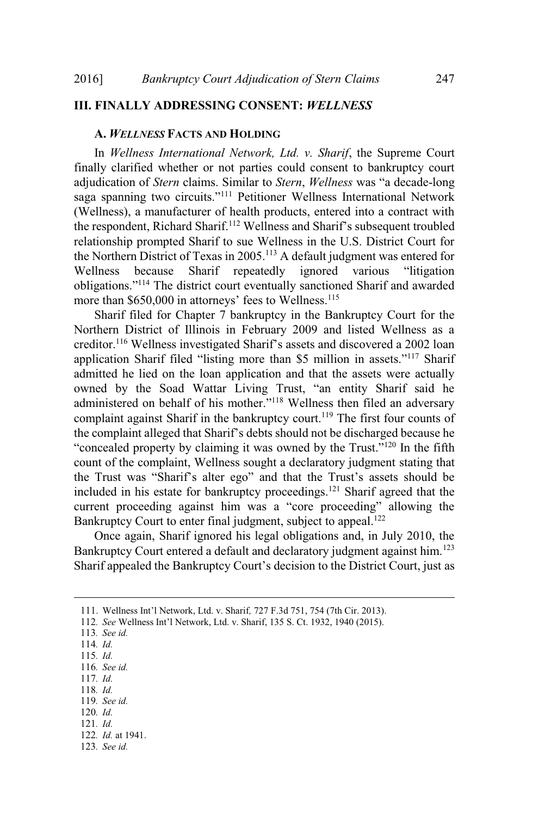# **III. FINALLY ADDRESSING CONSENT:** *WELLNESS*

#### **A.** *WELLNESS* **FACTS AND HOLDING**

In *Wellness International Network, Ltd. v. Sharif*, the Supreme Court finally clarified whether or not parties could consent to bankruptcy court adjudication of *Stern* claims. Similar to *Stern*, *Wellness* was "a decade-long adjudication of Stern claims. Similar to Stern, Wellness was "a decade-long saga spanning two circuits."<sup>111</sup> Petitioner Wellness International Network (Wellness), a manufacturer of health products, entered into a contract with the respondent, Richard Sharif.<sup>112</sup> Wellness and Sharif's subsequent troubled relationship prompted Sharif to sue Wellness in the U.S. District Court for the Northern District of Texas in 2005.<sup>113</sup> A default judgment was entered for Wellness because Sharif repeatedly ignored various "litigation Wellness because Sharif repeatedly ignored various "litigation" obligations."<sup>114</sup> The district court eventually sanctioned Sharif and awarded more than \$650,000 in attorneys' fees to Wellness.<sup>115</sup>

Sharif filed for Chapter 7 bankruptcy in the Bankruptcy Court for the Northern District of Illinois in February 2009 and listed Wellness as a creditor.<sup>116</sup> Wellness investigated Sharif's assets and discovered a 2002 loan Forthern Bistice of Infinite in Forthern 2009 and Instead Womess as a creditor.<sup>116</sup> Wellness investigated Sharif's assets and discovered a 2002 loan application Sharif filed "listing more than \$5 million in assets."<sup>117</sup> admitted he lied on the loan application and that the assets. Sharin admitted he lied on the loan application and that the assets were actually owned by the Soad Wattar Living Trust, "an entity Sharif said he administered on the four approached and that the assess were actually<br>owned by the Soad Wattar Living Trust, "an entity Sharif said he<br>administered on behalf of his mother."<sup>118</sup> Wellness then filed an adversary extending the bankruptcy court.<sup>119</sup> The first four counts of the complaint against Sharif in the bankruptcy court.<sup>119</sup> The first four counts of the complaint alleged that Sharif's debts should not be discharged because h Example in against Sharif in the bankraptery bound. The first four bounds of<br>the complaint alleged that Sharif's debts should not be discharged because he<br>"concealed property by claiming it was owned by the Trust."<sup>120</sup> In count of the complaint, Wellness sought a declaratory judgment stating that the Trust was "Sharif's alter ego" and that the Trust's assets should be included in his estate for bankruptcy proceedings.<sup>121</sup> Sharif agreed that the the Trust was "Sharif's alter ego" and that the Trust's assets should be included in his estate for bankruptcy proceedings.<sup>121</sup> Sharif agreed that the current proceeding against him was a "core proceeding" allowing the Bankruptcy Court to enter final judgment, subject to appeal.<sup>122</sup>

Once again, Sharif ignored his legal obligations and, in July 2010, the Bankruptcy Court entered a default and declaratory judgment against him.<sup>123</sup><br>Sharif appealed the Bankruptcy Court's decision to the District Court, just as

- 116*. See id.*
- 117*. Id.* 118*. Id.*
- 119*. See id.*
- 120*. Id.*
- 121*. Id.*
- 122*. Id.* at 1941.
- 123*. See id.*

<sup>111</sup>. Wellness Int'l Network, Ltd. v. Sharif*,* 727 F.3d 751, <sup>754</sup> (7th Cir. 2013). <sup>112</sup>*. See* Wellness Int'l Network, Ltd. v. Sharif, <sup>135</sup> S. Ct. 1932, <sup>1940</sup> (2015).

<sup>113</sup>*. See id.*

<sup>114</sup>*. Id.*

<sup>115</sup>*. Id.*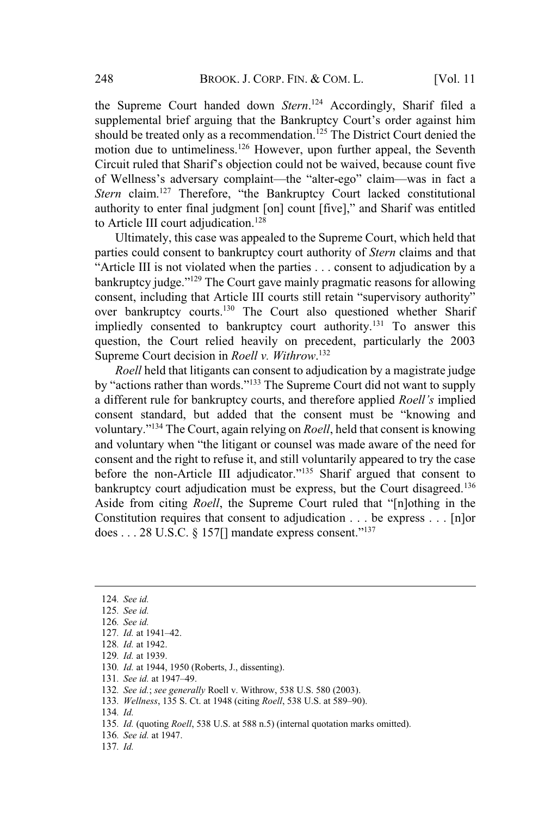the Supreme Court handed down *Stern*.<sup>124</sup> Accordingly, Sharif filed a supplemental brief arguing that the Bankruptcy Court's order against him should be treated only as a recommendation.<sup>125</sup> The District Court denied the motion due to untimeliness.<sup>126</sup> However, upon further appeal, the Seventh Circuit ruled that Sharif's objection could not be waived, because count five of Wellness's adversary complaint—the "alter-ego" claim—was in fact and Wellness's adversary complaint—the "alter-ego" claim—was in fact a *Stern* claim.<sup>127</sup> Therefore, "the Bankruptcy Court lacked constitutional *Stern* claim.<sup>127</sup> Therefore, "the Bankruptcy Court lacked constitutional Stern claim.<sup>127</sup> Therefore, "the Bankruptcy Court lacked constitutional<br>authority to enter final judgment [on] count [five]," and Sharif was entitled to Article III court adjudication.<sup>128</sup>

Ultimately, this case was appealed to the Supreme Court, which held that parties could consent to bankruptcy court authority of *Stern* claims and that parties could consent to bankruptcy court authority of *Stern* claims and that<br>"Article III is not violated when the parties . . . consent to adjudication by a<br>bankruptcy judge."<sup>129</sup> The Court gave mainly pragmatic reason Fractor in is not visitate when the parties ... consent to adjudication by a<br>bankruptcy judge."<sup>129</sup> The Court gave mainly pragmatic reasons for allowing<br>consent, including that Article III courts still retain "supervisory over bankruptcy courts.<sup>130</sup> The Court also questioned whether Sharif impliedly consented to bankruptcy court authority.<sup>131</sup> To answer this question, the Court relied heavily on precedent, particularly the 2003 Supreme Court decision in *Roell v. Withrow*. 132

*Roell* held that litigants can consent to adjudication by a magistrate judge by "actions rather than words."<sup>133</sup> The Supreme Court did not want to supply a different rule for bankruptcy courts, and therefore applied *Roell's* implied consent standard, but added that the consent must be "knowing and consent standard, but added that the consent must be "knowing and voluntary.<sup>3134</sup> The Court, again relying on *Roell*, held that consent is knowing<br>and voluntary when "the litigant or counsel was made aware of the need for consent and the right to refuse it, and still voluntarily appeared to try the case before the non-Article III adjudicator."<sup>135</sup> Sharif argued that consent to bankruptcy court adjudication must be express, but the Court disagreed.<sup>136</sup><br>Aside from citing *Roell*, the Supreme Court ruled that "[n]othing in the Constitution requires that consent to adjudication . . . be express . . . [n]or does . . . 28 U.S.C. § 157[] mandate express consent."<sup>137</sup>

- 129*. Id.* at 1939.
- 130*. Id.* at 1944, 1950 (Roberts, J., dissenting). <sup>131</sup>*. See id.* at 1947–49.
- 

<sup>133</sup>*. Wellness*, 135 S. Ct. at 1948 (citing *Roell*, <sup>538</sup> U.S. at 589–90).

- 135*. Id.* (quoting *Roell*, 538 U.S. at 588 n.5) (internal quotation marks omitted).
- 136*. See id.* at 1947.
- 137*. Id.*

<sup>124</sup>*. See id.*

<sup>125</sup>*. See id.*

<sup>126</sup>*. See id.*

<sup>127</sup>*. Id.* at 1941–42.

<sup>128</sup>*. Id.* at 1942.

<sup>132</sup>*. See id.*; *see generally* Roell v. Withrow, 538 U.S. 580 (2003).

<sup>134</sup>*. Id.*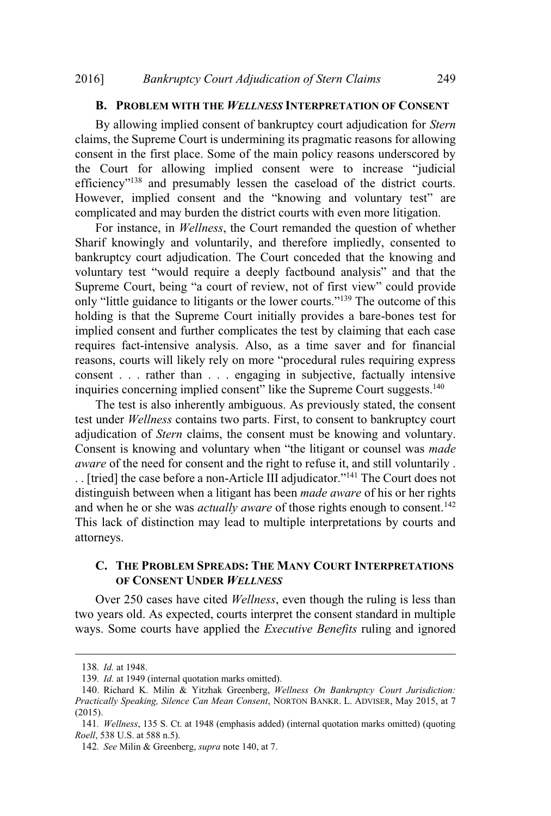# **B. PROBLEM WITH THE** *WELLNESS* **INTERPRETATION OF CONSENT**

By allowing implied consent of bankruptcy court adjudication for *Stern* claims, the Supreme Court is undermining its pragmatic reasons for allowing consent in the first place. Some of the main policy reasons underscored by court for allowing implied consent were to increase "judicial"<br>the Court for allowing implied consent were to increase "judicial" efficiency"<sup>138</sup> and presumably lessen the caseload of the district courts.<br>However, implied consent and the "knowing and voluntary test" are complicated and may burden the district courts with even more litigation.

For instance, in *Wellness*, the Court remanded the question of whether Sharif knowingly and voluntarily, and therefore impliedly, consented to bankruptcy court adjudication. The Court conceded that the knowing and bankruptcy court adjudication. The Court conceded that the knowing and voluntary test "would require a deeply factbound analysis" and that the Supreme Court, being "a court of review, not of first view" could provide Supreme Court, being "a court of review, not of first view" could provide<br>only "little guidance to litigants or the lower courts."<sup>139</sup> The outcome of this holding is that the Supreme Court initially provides a bare-bones test for implied consent and further complicates the test by claiming that each case requires fact-intensive analysis. Also, as a time saver and for financial reasons, courts will likely rely on more "procedural rules requiring express reasons, courts win interf for on more procedural rates requiring express<br>consent . . . rather than . . . engaging in subjective, factually intensive<br>inquiries concerning implied consent" like the Supreme Court suggests.<sup>1</sup>

The test is also inherently ambiguous. As previously stated, the consent test under *Wellness* contains two parts. First, to consent to bankruptcy court adjudication of *Stern* claims, the consent must be knowing and voluntary. Consent is knowing and voluntary when "the litigant or counsel was *made aware* of the need for consent and the right to refuse it, and still voluntarily .<br>. . Itried] the case before a non-Article III adjudicator."<sup>141</sup> The Court does not distinguish between when a litigant has been *made aware* of his or her rights and when he or she was *actually aware* of those rights enough to consent.<sup>142</sup> This lack of distinction may lead to multiple interpretations by courts and attorneys.

# **C. THE PROBLEM SPREADS: THE MANY COURT INTERPRETATIONS OF CONSENT UNDER** *WELLNESS*

Over 250 cases have cited *Wellness*, even though the ruling is less than two years old. As expected, courts interpret the consent standard in multiple ways. Some courts have applied the *Executive Benefits* ruling and ignored

<sup>138</sup>*. Id.* at 1948.

<sup>139</sup>*. Id.* at 1949 (internal quotation marks omitted).

<sup>140</sup>. Richard K. Milin & Yitzhak Greenberg, *Wellness On Bankruptcy Court Jurisdiction: Practically Speaking, Silence Can Mean Consent*, NORTON BANKR. L. ADVISER, May 2015, at 7 (2015).

<sup>141</sup>*. Wellness*, 135 S. Ct. at 1948 (emphasis added) (internal quotation marks omitted) (quoting *Roell*, 538 U.S. at 588 n.5).

<sup>142</sup>*. See* Milin & Greenberg, *supra* note 140, at 7.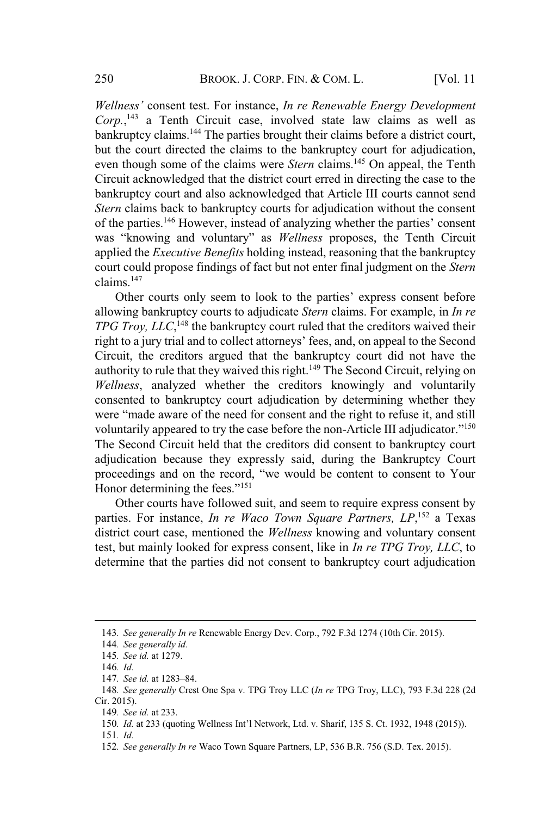*Wellness'* consent test. For instance, *In re Renewable Energy Development Corp.*, <sup>143</sup> a Tenth Circuit case, involved state law claims as well as bankruptcy claims.<sup>144</sup> The parties brought their claims before a district court, but the court directed the claims to the bankruptcy court for adjudication, even though some of the claims were *Stern* claims.<sup>145</sup> On appeal, the Tenth Circuit acknowledged that the district court erred in directing the case to the bankruptcy court and also acknowledged that Article III courts cannot send *Stern* claims back to bankruptcy courts for adjudication without the consent of the parties.<sup>146</sup> However, instead of analyzing whether the parties' consent of the parties.<sup>146</sup> However, instead of analyzing whether the parties' consent "knowing and voluntary" as *Wellness* proposes, the Tenth Circuit applied the *Executive Benefits* holding instead, reasoning that the bankruptcy court could propose findings of fact but not enter final judgment on the *Stern*  $\frac{147}{\text{columns.}}$ <sup>147</sup>

Other courts only seem to look to the parties' express consent before allowing bankruptcy courts to adjudicate *Stern* claims. For example, in *In re TPG Troy, LLC*,<sup>148</sup> the bankruptcy court ruled that the creditors waived their right to a jury trial and to collect attorneys' fees, and, on appeal to the Second Circuit, the creditors argued that the bankruptcy court did not have the authority to rule that they waived this right.<sup>149</sup> The Second Circuit, relying on *Wellness*, analyzed whether the creditors knowingly and voluntarily consented to bankruptcy court adjudication by determining whether they were "made aware of the need for consent and the right to refuse it, and still were "made aware of the need for consent and the right to refuse it, and still voluntarily appeared to try the case before the non-Article III adjudicator."<sup>150</sup> The Second Circuit held that the creditors did consent to bankruptcy court adjudication because they expressly said, during the Bankruptcy Court proceedings and on the record, "we would be content to consent to Your digital discrete the contraction of the fees.<sup>"151</sup><br>Honor determining the fees."<sup>151</sup>

Other courts have followed suit, and seem to require express consent by parties. For instance, *In re Waco Town Square Partners, LP*, <sup>152</sup> a Texas district court case, mentioned the *Wellness* knowing and voluntary consent test, but mainly looked for express consent, like in *In re TPG Troy, LLC*, to determine that the parties did not consent to bankruptcy court adjudication

<sup>143</sup>*. See generally In re* Renewable Energy Dev. Corp., 792 F.3d 1274 (10th Cir. 2015).

<sup>144</sup>*. See generally id.*

<sup>145</sup>*. See id.* at 1279.

<sup>146</sup>*. Id.*

<sup>147</sup>*. See id.* at 1283–84.

<sup>148</sup>*. See generally* Crest One Spa v. TPG Troy LLC (*In re* TPG Troy, LLC), 793 F.3d 228 (2d Cir. 2015).

<sup>149</sup>*. See id.* at 233.

<sup>150</sup>*. Id.* at <sup>233</sup> (quoting Wellness Int'l Network, Ltd. v. Sharif, 135 S. Ct. 1932, <sup>1948</sup> (2015)).

<sup>151</sup>*. Id.*

<sup>152</sup>*. See generally In re* Waco Town Square Partners, LP, 536 B.R. 756 (S.D. Tex. 2015).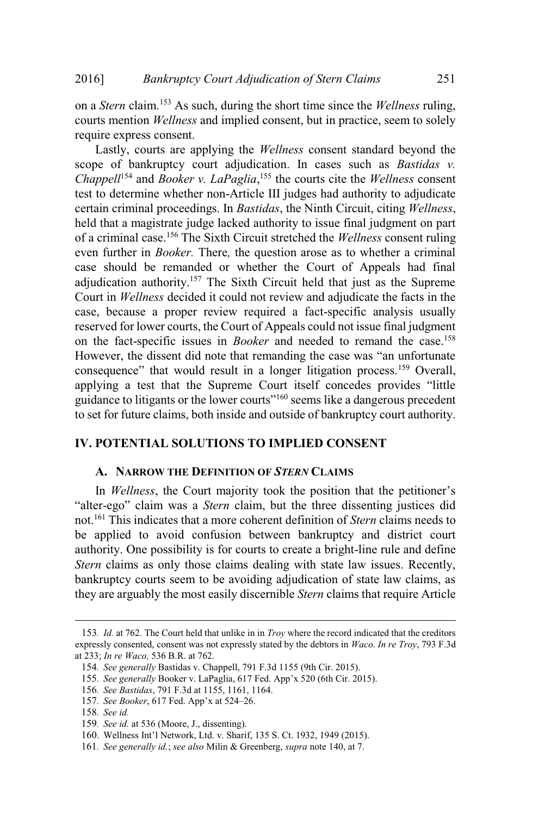on a *Stern* claim.<sup>153</sup> As such, during the short time since the *Wellness* ruling, courts mention *Wellness* and implied consent, but in practice, seem to solely require express consent.

Lastly, courts are applying the *Wellness* consent standard beyond the scope of bankruptcy court adjudication. In cases such as *Bastidas v. Chappell*<sup>154</sup> and *Booker v. LaPaglia*, <sup>155</sup> the courts cite the *Wellness* consent test to determine whether non-Article III judges had authority to adjudicate certain criminal proceedings. In *Bastidas*, the Ninth Circuit, citing *Wellness*, held that a magistrate judge lacked authority to issue final judgment on part of a criminal case.<sup>156</sup> The Sixth Circuit stretched the *Wellness* consent ruling even further in *Booker.* There*,* the question arose as to whether a criminal case should be remanded or whether the Court of Appeals had final adjudication authority.<sup>157</sup> The Sixth Circuit held that just as the Supreme Court in *Wellness* decided it could not review and adjudicate the facts in the case, because a proper review required a fact-specific analysis usually reserved for lower courts, the Court of Appeals could not issue final judgment on the fact-specific issues in *Booker* and needed to remand the case.<sup>158</sup> However, the dissent did note that remanding the case was "an unfortunate External that the dissertion of the that remanding the case was "an unfortunate consequence" that would result in a longer litigation process.<sup>159</sup> Overall, applying a test that the Supreme Court itself concedes provides " applying a test that the Supreme Court itself concedes provides "little" to litigants or the lower courts"<sup>160</sup> seems like <sup>a</sup> dangerous precedent to set for future claims, both inside and outside of bankruptcy court authority.

# **IV. POTENTIAL SOLUTIONS TO IMPLIED CONSENT**

#### **A. NARROW THE DEFINITION OF** *STERN* **CLAIMS**

In *Wellness*, the Court majority took the position that the petitioner's "alter-ego" claim was a *Stern* claim, but the three dissenting justices did not.<sup>161</sup> This indicates that a more coherent definition of *Stern* claims needs to be applied to avoid confusion between bankruptcy and district court authority. One possibility is for courts to create a bright-line rule and define *Stern* claims as only those claims dealing with state law issues. Recently, bankruptcy courts seem to be avoiding adjudication of state law claims, as they are arguably the most easily discernible *Stern* claims that require Article

<sup>153</sup>*. Id.* at 762. The Court held that unlike in in *Troy* where the record indicated that the creditors expressly consented, consent was not expressly stated by the debtors in *Waco*. *In re Troy*, 793 F.3d at 233; *In re Waco,* 536 B.R. at 762.

<sup>154</sup>*. See generally* Bastidas v. Chappell, 791 F.3d 1155 (9th Cir. 2015).

<sup>155</sup>*. See generally* Booker v. LaPaglia, <sup>617</sup> Fed. App'x <sup>520</sup> (6th Cir. 2015).

<sup>156</sup>*. See Bastidas*, 791 F.3d at 1155, 1161, 1164. <sup>157</sup>*. See Booker*, <sup>617</sup> Fed. App'x at 524–26.

<sup>158</sup>*. See id.*

<sup>159</sup>*. See id.* at 536 (Moore, J., dissenting).

<sup>160</sup>. Wellness Int'l Network, Ltd. v. Sharif, 135 S. Ct. 1932, <sup>1949</sup> (2015).

<sup>161</sup>*. See generally id.*; *see also* Milin & Greenberg, *supra* note 140, at 7.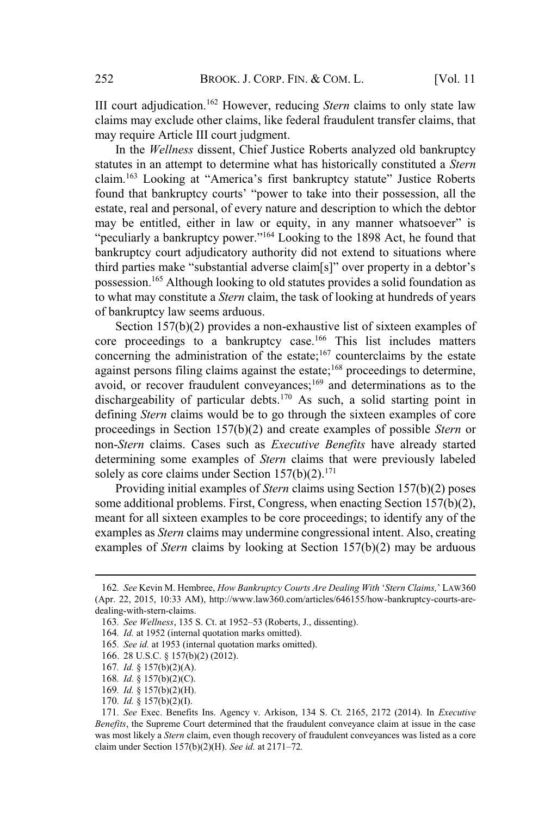III court adjudication.<sup>162</sup> However, reducing *Stern* claims to only state law claims may exclude other claims, like federal fraudulent transfer claims, that may require Article III court judgment.

In the *Wellness* dissent, Chief Justice Roberts analyzed old bankruptcy statutes in an attempt to determine what has historically constituted a *Stern* claim.<sup>163</sup> Looking at "America's first bankruptcy statute" Justice Roberts found that bankruptcy courts' "power to take into their possession, all the found that bankruptcy courts' "power to take into their possession, all the estate, real and personal, of every nature and description to which the debtor may be entitled, either in law or equity, in any manner whatsoever" is banks, real and personal, or every matter and description to which the dector<br>may be entitled, either in law or equity, in any manner whatsoever" is<br>"peculiarly a bankruptcy power."<sup>164</sup> Looking to the 1898 Act, he found t bankruptcy court adjudicatory authority did not extend to situations where third parties make "substantial adverse claim[s]" over property in a debtor's possession.<sup>165</sup> Although looking to old statutes provides a solid foundation as to what may constitute a *Stern* claim, the task of looking at hundreds of years of bankruptcy law seems arduous.

Section 157(b)(2) provides a non-exhaustive list of sixteen examples of core proceedings to a bankruptcy case.<sup>166</sup> This list includes matters concerning the administration of the estate;<sup>167</sup> counterclaims by the estate against persons filing claims against the estate;<sup>168</sup> proceedings to determine, avoid, or recover fraudulent conveyances;<sup>169</sup> and determinations as to the dischargeability of particular debts.<sup>170</sup> As such, a solid starting point in defining *Stern* claims would be to go through the sixteen examples of core proceedings in Section 157(b)(2) and create examples of possible *Stern* or non-*Stern* claims. Cases such as *Executive Benefits* have already started determining some examples of *Stern* claims that were previously labeled solely as core claims under Section  $157(b)(2)$ .<sup>171</sup>

Providing initial examples of *Stern* claims using Section 157(b)(2) poses some additional problems. First, Congress, when enacting Section 157(b)(2), meant for all sixteen examples to be core proceedings; to identify any of the examples as *Stern* claims may undermine congressional intent. Also, creating examples of *Stern* claims by looking at Section 157(b)(2) may be arduous

<sup>162</sup>*. See* Kevin M. Hembree, *How Bankruptcy Courts Are Dealing With* '*Stern Claims,*' <sup>L</sup>AW<sup>360</sup> (Apr. 22, 2015, 10:33 AM), http://www.law360.com/articles/646155/how-bankruptcy-courts-aredealing-with-stern-claims.

<sup>163</sup>*. See Wellness*, 135 S. Ct. at 1952–53 (Roberts, J., dissenting).

<sup>164</sup>*. Id.* at 1952 (internal quotation marks omitted).

<sup>165</sup>*. See id.* at 1953 (internal quotation marks omitted).

<sup>166</sup>. 28 U.S.C. § 157(b)(2) (2012).

<sup>167</sup>*. Id.* § 157(b)(2)(A).

<sup>168</sup>*. Id.* § 157(b)(2)(C).

<sup>169</sup>*. Id.* § 157(b)(2)(H).

<sup>170</sup>*. Id.* § 157(b)(2)(I).

<sup>171</sup>*. See* Exec. Benefits Ins. Agency v. Arkison, 134 S. Ct. 2165, 2172 (2014). In *Executive Benefits*, the Supreme Court determined that the fraudulent conveyance claim at issue in the case was most likely a *Stern* claim, even though recovery of fraudulent conveyances was listed as a core claim under Section 157(b)(2)(H). *See id.* at 2171–72*.*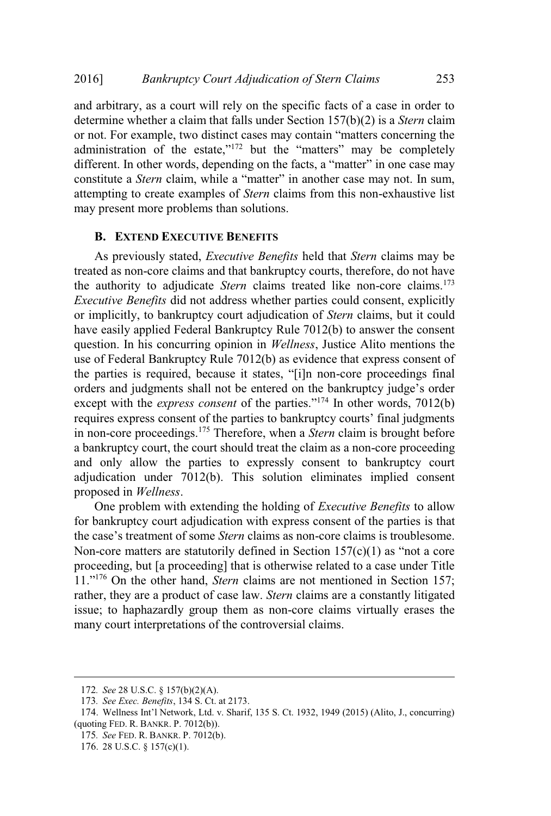and arbitrary, as a court will rely on the specific facts of a case in order to determine whether a claim that falls under Section 157(b)(2) is a *Stern* claim or not. For example, two distinct cases may contain "matters concerning the or not. For example, two distinct cases may contain "matters concerning the or not. For example, two distinct cases may contain "matters concerning the administration of the estate,"<sup>172</sup> but the "matters" may be completely different. In other words, depending on the facts, a "matter" in one case different. In other words, depending on the facts, a "matter" in one case may constitute a *Stern* claim, while a "matter" in another case may not. In sum, attempting to create examples of *Stern* claims from this non-exhaustive list may present more problems than solutions.

#### **B. EXTEND EXECUTIVE BENEFITS**

As previously stated, *Executive Benefits* held that *Stern* claims may be treated as non-core claims and that bankruptcy courts, therefore, do not have the authority to adjudicate *Stern* claims treated like non-core claims.<sup>173</sup> *Executive Benefits* did not address whether parties could consent, explicitly or implicitly, to bankruptcy court adjudication of *Stern* claims, but it could have easily applied Federal Bankruptcy Rule 7012(b) to answer the consent question. In his concurring opinion in *Wellness*, Justice Alito mentions the use of Federal Bankruptcy Rule 7012(b) as evidence that express consent of the parties is required, because it states, "[i]n non-core proceedings final disc or Federal Bankraptey Rate 7012(b) as evidence and express consent of<br>the parties is required, because it states, "[i]n non-core proceedings final<br>orders and judgments shall not be entered on the bankruptcy judge's or except with the *express consent* of the parties."<sup>174</sup> In other words, 7012(b) except with the *express consent* of the parties."<sup>174</sup> In other words, 7012(b) requires express consent of the parties to bankruptcy courts' final judgments in non-core proceedings.<sup>175</sup> Therefore, when a *Stern* claim is brought before a bankruptcy court, the court should treat the claim as a non-core proceeding and only allow the parties to expressly consent to bankruptcy court adjudication under 7012(b). This solution eliminates implied consent proposed in *Wellness*.

One problem with extending the holding of *Executive Benefits* to allow for bankruptcy court adjudication with express consent of the parties is that the case's treatment of some *Stern* claims as non-core claims is troublesome. the case's treatment of some *Stern* claims as non-core claims is troublesome.<br>Non-core matters are statutorily defined in Section  $157(c)(1)$  as "not a core proceeding, but [a proceeding] that is otherwise related to a case under Title 11."<sup>176</sup> On the other hand, *Stern* claims are not mentioned in Section 157; rather, they are a product of case law. *Stern* claims are a constantly litigated issue; to haphazardly group them as non-core claims virtually erases the many court interpretations of the controversial claims.

175*. See* FED. R. BANKR. P. 7012(b).

<sup>172</sup>*. See* 28 U.S.C. § 157(b)(2)(A).

<sup>173</sup>*. See Exec. Benefits*, 134 S. Ct. at 2173.

<sup>174</sup>. Wellness Int'l Network, Ltd. v. Sharif, <sup>135</sup> S. Ct. 1932, <sup>1949</sup> (2015) (Alito, J., concurring) (quoting FED. R. BANKR. P. 7012(b)).

<sup>176</sup>. 28 U.S.C. § 157(c)(1).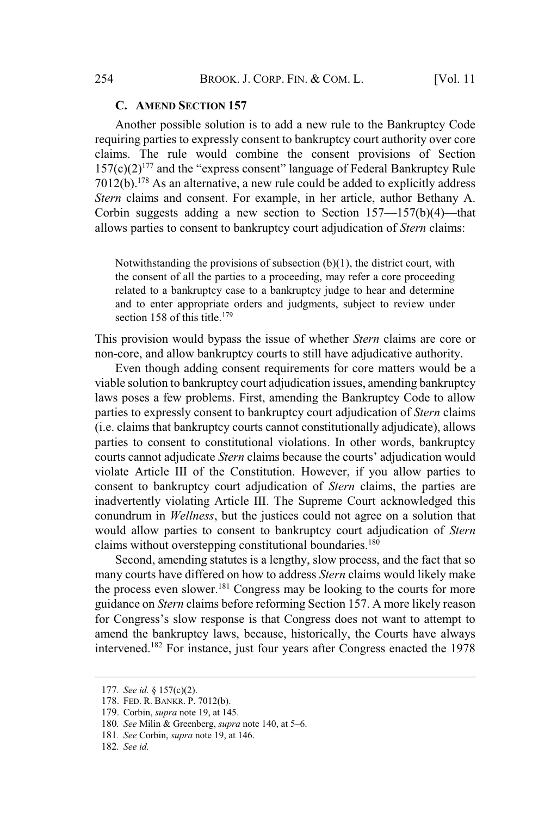#### **C. AMEND SECTION 157**

Another possible solution is to add a new rule to the Bankruptcy Code requiring parties to expressly consent to bankruptcy court authority over core claims. The rule would combine the consent provisions of Section  $157(c)(2)^{177}$  and the "express consent" language of Federal Bankruptcy Rule  $7012(b)$ .<sup>178</sup> As an alternative, a new rule could be added to explicitly address *Stern* claims and consent. For example, in her article, author Bethany A. Corbin suggests adding a new section to Section  $157-157(b)(4)$ —that allows parties to consent to bankruptcy court adjudication of *Stern* claims:

Notwithstanding the provisions of subsection (b)(1), the district court, with the consent of all the parties to a proceeding, may refer a core proceeding related to a bankruptcy case to a bankruptcy judge to hear and determine and to enter appropriate orders and judgments, subject to review under section 158 of this title.<sup>179</sup>

This provision would bypass the issue of whether *Stern* claims are core or non-core, and allow bankruptcy courts to still have adjudicative authority.

Even though adding consent requirements for core matters would be a viable solution to bankruptcy court adjudication issues, amending bankruptcy laws poses a few problems. First, amending the Bankruptcy Code to allow parties to expressly consent to bankruptcy court adjudication of *Stern* claims (i.e. claims that bankruptcy courts cannot constitutionally adjudicate), allows parties to consent to constitutional violations. In other words, bankruptcy courts cannot adjudicate *Stern* claims because the courts' adjudication would violate Article III of the Constitution. However, if you allow parties to consent to bankruptcy court adjudication of *Stern* claims, the parties are inadvertently violating Article III. The Supreme Court acknowledged this conundrum in *Wellness*, but the justices could not agree on a solution that would allow parties to consent to bankruptcy court adjudication of *Stern* claims without overstepping constitutional boundaries.<sup>180</sup>

Second, amending statutes is a lengthy, slow process, and the fact that so many courts have differed on how to address *Stern* claims would likely make the process even slower.<sup>181</sup> Congress may be looking to the courts for more guidance on *Stern* claims before reforming Section 157. A more likely reason for Congress's slow response is that Congress does not want to attempt to amend the bankruptcy laws, because, historically, the Courts have always intervened.<sup>182</sup> For instance, just four years after Congress enacted the 1978

<sup>177</sup>*. See id.* § 157(c)(2).

<sup>178</sup>. FED. R. BANKR. P. 7012(b).

<sup>179</sup>. Corbin, *supra* note 19, at 145.

<sup>180</sup>*. See* Milin & Greenberg, *supra* note 140, at 5–6.

<sup>181</sup>*. See* Corbin, *supra* note 19, at 146.

<sup>182</sup>*. See id.*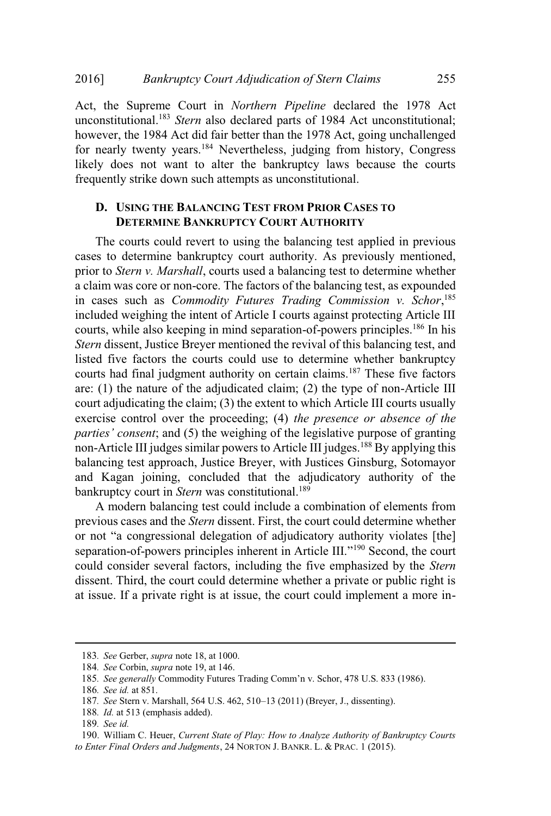Act, the Supreme Court in *Northern Pipeline* declared the 1978 Act unconstitutional.<sup>183</sup> Stern also declared parts of 1984 Act unconstitutional; however, the 1984 Act did fair better than the 1978 Act, going unchallenged for nearly twenty years.<sup>184</sup> Nevertheless, judging from history, Congress likely does not want to alter the bankruptcy laws because the courts frequently strike down such attempts as unconstitutional.

# **D. USING THE BALANCING TEST FROM PRIOR CASES TO DETERMINE BANKRUPTCY COURT AUTHORITY**

The courts could revert to using the balancing test applied in previous cases to determine bankruptcy court authority. As previously mentioned, prior to *Stern v. Marshall*, courts used a balancing test to determine whether a claim was core or non-core. The factors of the balancing test, as expounded in cases such as *Commodity Futures Trading Commission v. Schor*, 185 included weighing the intent of Article I courts against protecting Article III courts, while also keeping in mind separation-of-powers principles.<sup>186</sup> In his *Stern* dissent, Justice Breyer mentioned the revival of this balancing test, and listed five factors the courts could use to determine whether bankruptcy courts had final judgment authority on certain claims.<sup>187</sup> These five factors are: (1) the nature of the adjudicated claim; (2) the type of non-Article III court adjudicating the claim; (3) the extent to which Article III courts usually exercise control over the proceeding; (4) *the presence or absence of the parties' consent*; and (5) the weighing of the legislative purpose of granting non-Article III judges similar powers to Article III judges.<sup>188</sup> By applying this balancing test approach, Justice Breyer, with Justices Ginsburg, Sotomayor and Kagan joining, concluded that the adjudicatory authority of the bankruptcy court in *Stern* was constitutional.<sup>189</sup>

A modern balancing test could include a combination of elements from previous cases and the *Stern* dissent. First, the court could determine whether or not "a congressional delegation of adjudicatory authority violates [the] or not "a congressional delegation of adjudicatory authority violates [the] separation-of-powers principles inherent in Article III."<sup>190</sup> Second, the court could consider several factors, including the five emphasized by the *Stern* dissent. Third, the court could determine whether a private or public right is at issue. If a private right is at issue, the court could implement a more in-

<sup>183</sup>*. See* Gerber, *supra* note 18, at 1000.

<sup>184</sup>*. See* Corbin, *supra* note 19, at 146.

<sup>185</sup>*. See generally* Commodity Futures Trading Comm'n v. Schor, <sup>478</sup> U.S. <sup>833</sup> (1986).

<sup>186</sup>*. See id.* at 851.

<sup>187</sup>*. See* Stern v. Marshall, <sup>564</sup> U.S. 462, 510–13 (2011) (Breyer, J., dissenting).

<sup>188</sup>*. Id.* at 513 (emphasis added).

<sup>189</sup>*. See id.*

<sup>190</sup>. William C. Heuer, *Current State of Play: How to Analyze Authority of Bankruptcy Courts to Enter Final Orders and Judgments*, 24 NORTON J. BANKR. L. & PRAC. 1 (2015).